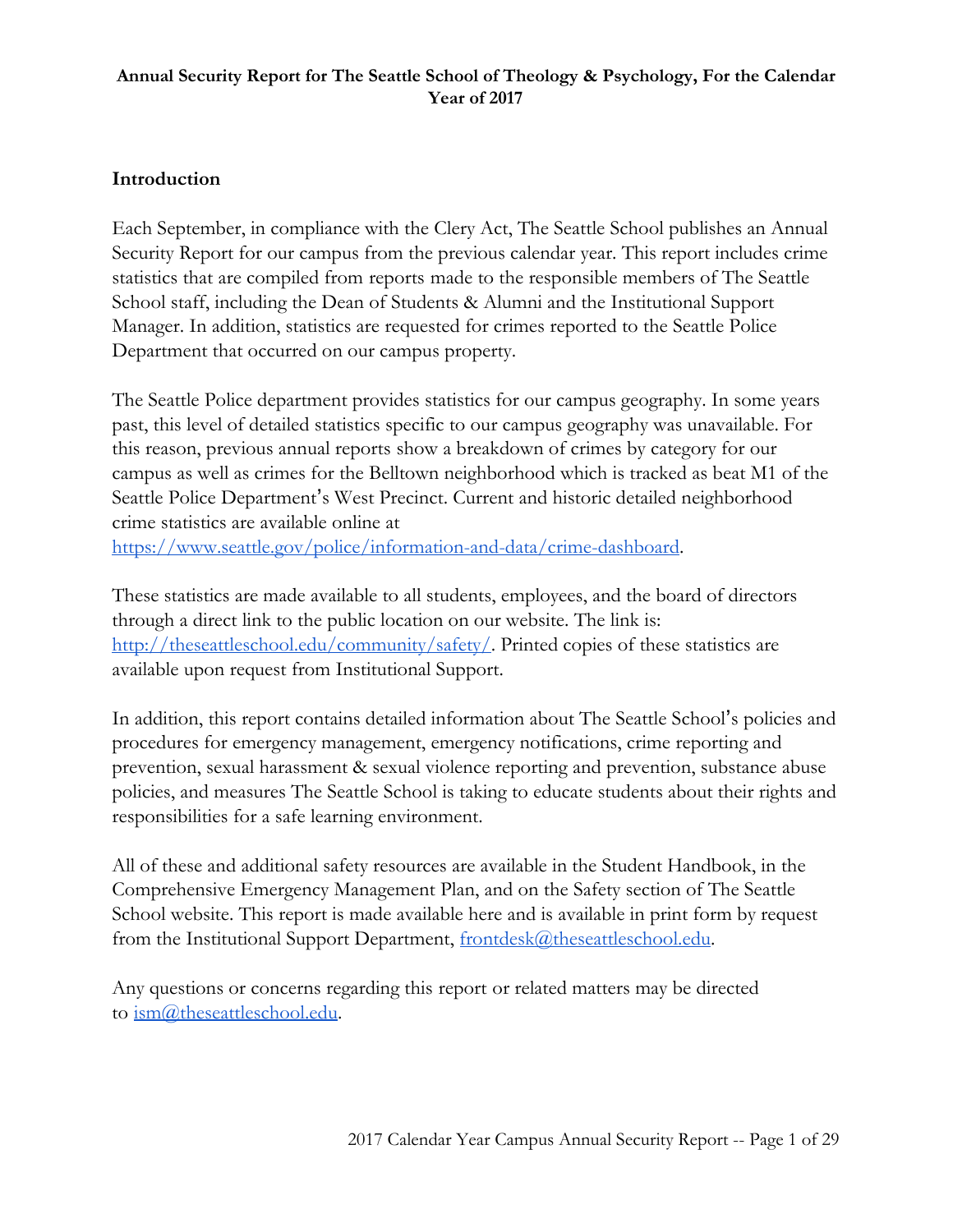## **Introduction**

Each September, in compliance with the Clery Act, The Seattle School publishes an Annual Security Report for our campus from the previous calendar year. This report includes crime statistics that are compiled from reports made to the responsible members of The Seattle School staff, including the Dean of Students & Alumni and the Institutional Support Manager. In addition, statistics are requested for crimes reported to the Seattle Police Department that occurred on our campus property.

The Seattle Police department provides statistics for our campus geography. In some years past, this level of detailed statistics specific to our campus geography was unavailable. For this reason, previous annual reports show a breakdown of crimes by category for our campus as well as crimes for the Belltown neighborhood which is tracked as beat M1 of the Seattle Police Department's West Precinct. Current and historic detailed neighborhood crime statistics are available online at

<https://www.seattle.gov/police/information-and-data/crime-dashboard>.

These statistics are made available to all students, employees, and the board of directors through a direct link to the public location on our website. The link is: [http://theseattleschool.edu/community/safety/.](http://theseattleschool.edu/community/safety/) Printed copies of these statistics are available upon request from Institutional Support.

In addition, this report contains detailed information about The Seattle School's policies and procedures for emergency management, emergency notifications, crime reporting and prevention, sexual harassment & sexual violence reporting and prevention, substance abuse policies, and measures The Seattle School is taking to educate students about their rights and responsibilities for a safe learning environment.

All of these and additional safety resources are available in the Student Handbook, in the Comprehensive Emergency Management Plan, and on the Safety section of The Seattle School website. This report is made available here and is available in print form by request from the Institutional Support Department, [frontdesk@theseattleschool.edu.](mailto:frontdesk@theseattleschool.edu)

Any questions or concerns regarding this report or related matters may be directed to [ism@theseattleschool.edu](mailto:ism@theseattleschool.edu).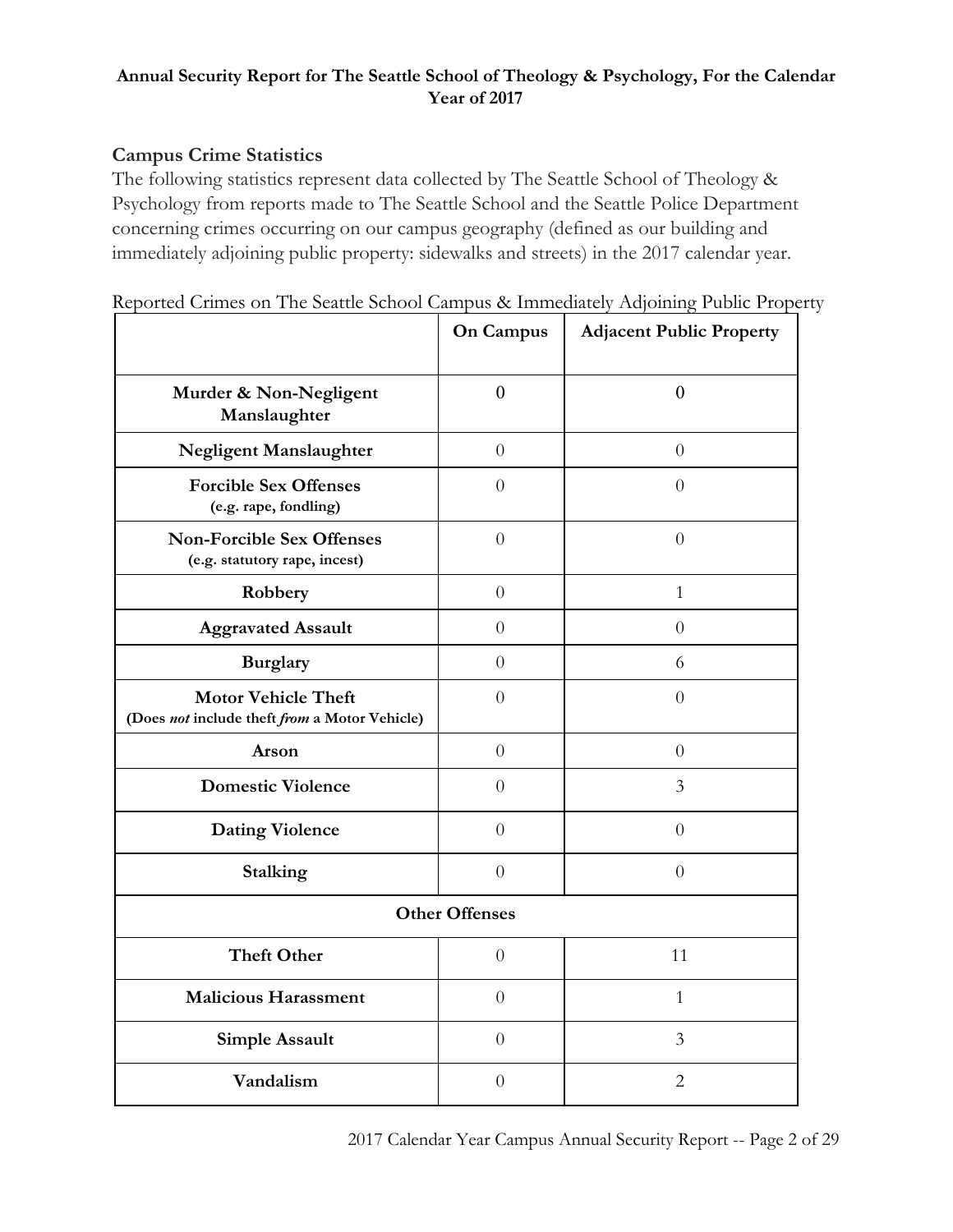# **Campus Crime Statistics**

The following statistics represent data collected by The Seattle School of Theology & Psychology from reports made to The Seattle School and the Seattle Police Department concerning crimes occurring on our campus geography (defined as our building and immediately adjoining public property: sidewalks and streets) in the 2017 calendar year.

|  |  |  |  | Reported Crimes on The Seattle School Campus & Immediately Adjoining Public Property |  |  |  |
|--|--|--|--|--------------------------------------------------------------------------------------|--|--|--|
|  |  |  |  |                                                                                      |  |  |  |

|                                                                             | <b>On Campus</b>      | <b>Adjacent Public Property</b> |
|-----------------------------------------------------------------------------|-----------------------|---------------------------------|
| Murder & Non-Negligent<br>Manslaughter                                      | $\theta$              | $\overline{0}$                  |
| <b>Negligent Manslaughter</b>                                               | $\overline{0}$        | $\theta$                        |
| <b>Forcible Sex Offenses</b><br>(e.g. rape, fondling)                       | $\Omega$              | $\theta$                        |
| <b>Non-Forcible Sex Offenses</b><br>(e.g. statutory rape, incest)           | $\overline{0}$        | $\theta$                        |
| Robbery                                                                     | $\overline{0}$        | $\mathbf{1}$                    |
| <b>Aggravated Assault</b>                                                   | $\overline{0}$        | $\overline{0}$                  |
| <b>Burglary</b>                                                             | $\overline{0}$        | 6                               |
| <b>Motor Vehicle Theft</b><br>(Does not include theft from a Motor Vehicle) | $\overline{0}$        | $\overline{0}$                  |
| Arson                                                                       | $\overline{0}$        | $\Omega$                        |
| <b>Domestic Violence</b>                                                    | $\Omega$              | 3                               |
| <b>Dating Violence</b>                                                      | $\overline{0}$        | $\overline{0}$                  |
| Stalking                                                                    | $\overline{0}$        | $\overline{0}$                  |
|                                                                             | <b>Other Offenses</b> |                                 |
| <b>Theft Other</b>                                                          | $\overline{0}$        | 11                              |
| <b>Malicious Harassment</b>                                                 | $\theta$              | $\mathbf{1}$                    |
| <b>Simple Assault</b>                                                       | $\overline{0}$        | 3                               |
| Vandalism                                                                   | $\overline{0}$        | $\overline{c}$                  |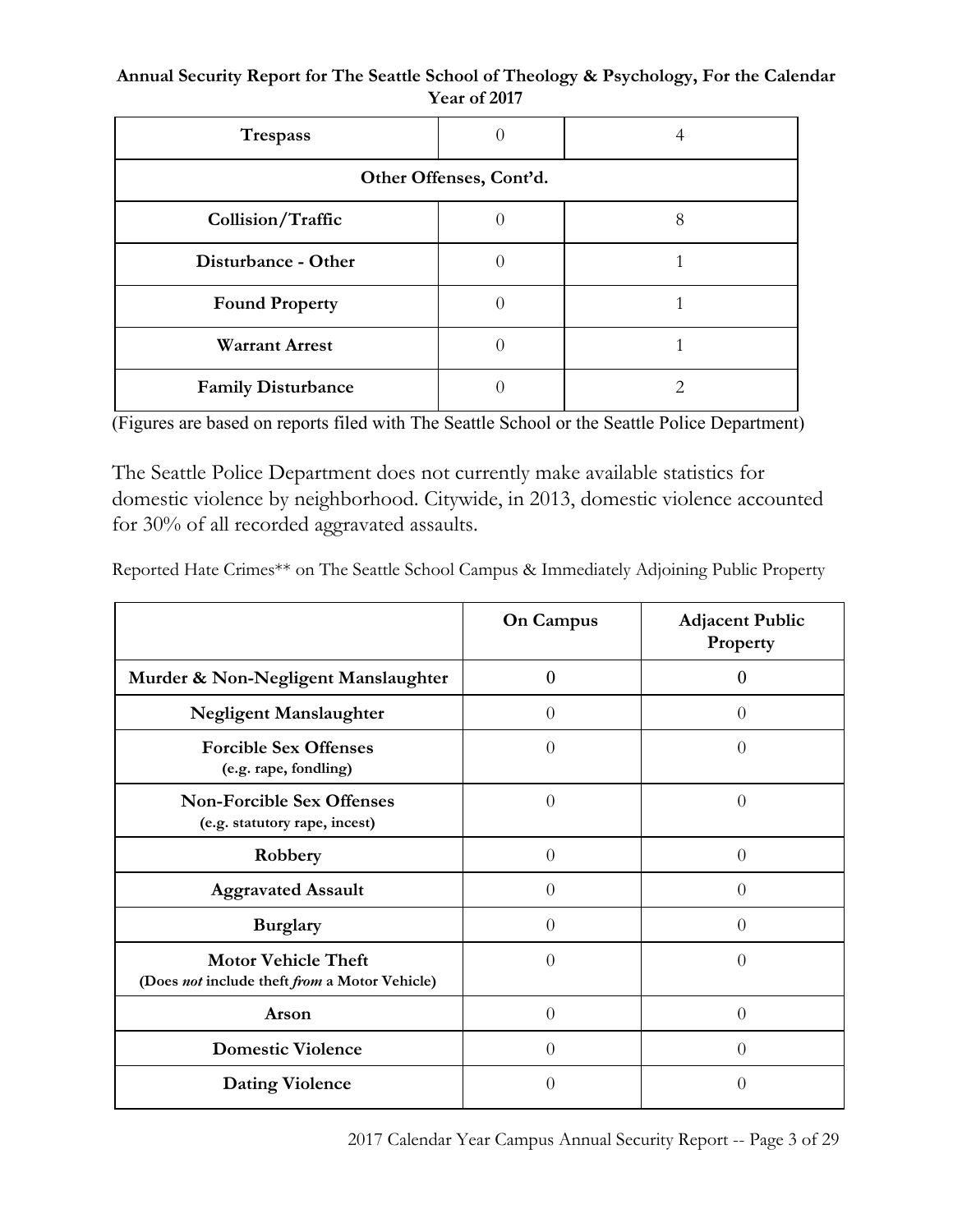**Annual Security Report for The Seattle School of Theology & Psychology, For the Calendar Year of 2017**

| <b>Trespass</b>           | 0 |   |  |  |  |  |
|---------------------------|---|---|--|--|--|--|
| Other Offenses, Cont'd.   |   |   |  |  |  |  |
| Collision/Traffic         |   | 8 |  |  |  |  |
| Disturbance - Other       |   |   |  |  |  |  |
| <b>Found Property</b>     |   |   |  |  |  |  |
| <b>Warrant Arrest</b>     |   |   |  |  |  |  |
| <b>Family Disturbance</b> |   |   |  |  |  |  |

(Figures are based on reports filed with The Seattle School or the Seattle Police Department)

The Seattle Police Department does not currently make available statistics for domestic violence by neighborhood. Citywide, in 2013, domestic violence accounted for 30% of all recorded aggravated assaults.

Reported Hate Crimes\*\* on The Seattle School Campus & Immediately Adjoining Public Property

|                                                                             | <b>On Campus</b> | <b>Adjacent Public</b><br>Property |
|-----------------------------------------------------------------------------|------------------|------------------------------------|
| Murder & Non-Negligent Manslaughter                                         | $\theta$         | $\mathcal{O}$                      |
| <b>Negligent Manslaughter</b>                                               | $\theta$         | $\theta$                           |
| <b>Forcible Sex Offenses</b><br>(e.g. rape, fondling)                       | $\overline{0}$   | $\theta$                           |
| <b>Non-Forcible Sex Offenses</b><br>(e.g. statutory rape, incest)           | $\overline{0}$   | $\overline{0}$                     |
| Robbery                                                                     | $\overline{0}$   | $\theta$                           |
| <b>Aggravated Assault</b>                                                   | $\theta$         | $\theta$                           |
| <b>Burglary</b>                                                             | $\theta$         | 0                                  |
| <b>Motor Vehicle Theft</b><br>(Does not include theft from a Motor Vehicle) | $\theta$         | $\theta$                           |
| Arson                                                                       | $\theta$         | $\theta$                           |
| <b>Domestic Violence</b>                                                    | $\theta$         | 0                                  |
| <b>Dating Violence</b>                                                      | $\theta$         | $\left( \right)$                   |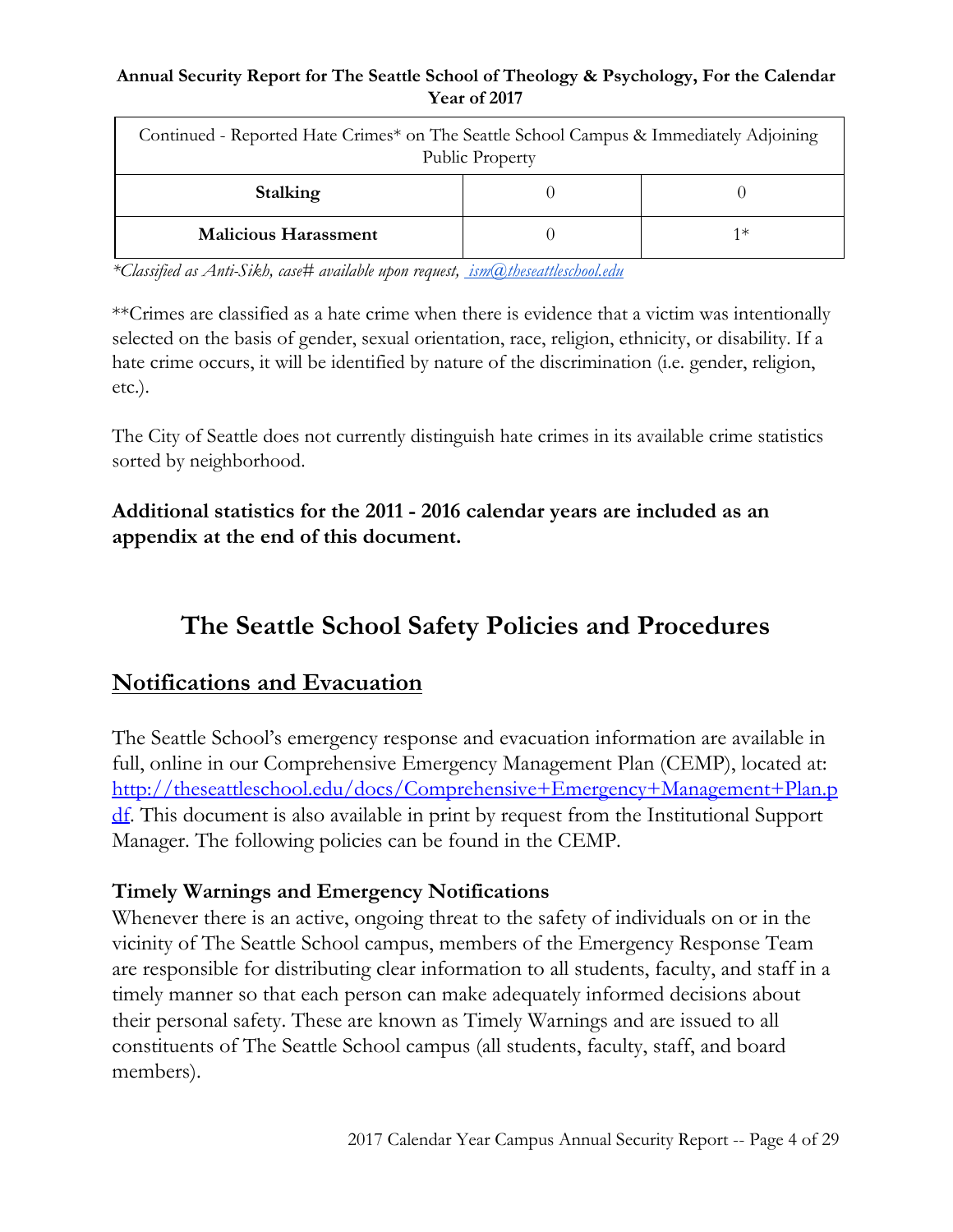| Continued - Reported Hate Crimes* on The Seattle School Campus & Immediately Adjoining<br><b>Public Property</b> |  |    |  |
|------------------------------------------------------------------------------------------------------------------|--|----|--|
| Stalking                                                                                                         |  |    |  |
| <b>Malicious Harassment</b>                                                                                      |  | 1∗ |  |

*\*Classified as Anti-Sikh, case# available upon request, [ism@theseattleschool.edu](mailto:ism@theseattleschool.edu)*

\*\*Crimes are classified as a hate crime when there is evidence that a victim was intentionally selected on the basis of gender, sexual orientation, race, religion, ethnicity, or disability. If a hate crime occurs, it will be identified by nature of the discrimination (i.e. gender, religion, etc.).

The City of Seattle does not currently distinguish hate crimes in its available crime statistics sorted by neighborhood.

# **Additional statistics for the 2011 - 2016 calendar years are included as an appendix at the end of this document.**

# **The Seattle School Safety Policies and Procedures**

# **Notifications and Evacuation**

The Seattle School's emergency response and evacuation information are available in full, online in our Comprehensive Emergency Management Plan (CEMP), located at: [http://theseattleschool.edu/docs/Comprehensive+Emergency+Management+Plan.p](http://theseattleschool.edu/docs/Comprehensive+Emergency+Management+Plan.pdf) [df](http://theseattleschool.edu/docs/Comprehensive+Emergency+Management+Plan.pdf). This document is also available in print by request from the Institutional Support Manager. The following policies can be found in the CEMP.

# **Timely Warnings and Emergency Notifications**

Whenever there is an active, ongoing threat to the safety of individuals on or in the vicinity of The Seattle School campus, members of the Emergency Response Team are responsible for distributing clear information to all students, faculty, and staff in a timely manner so that each person can make adequately informed decisions about their personal safety. These are known as Timely Warnings and are issued to all constituents of The Seattle School campus (all students, faculty, staff, and board members).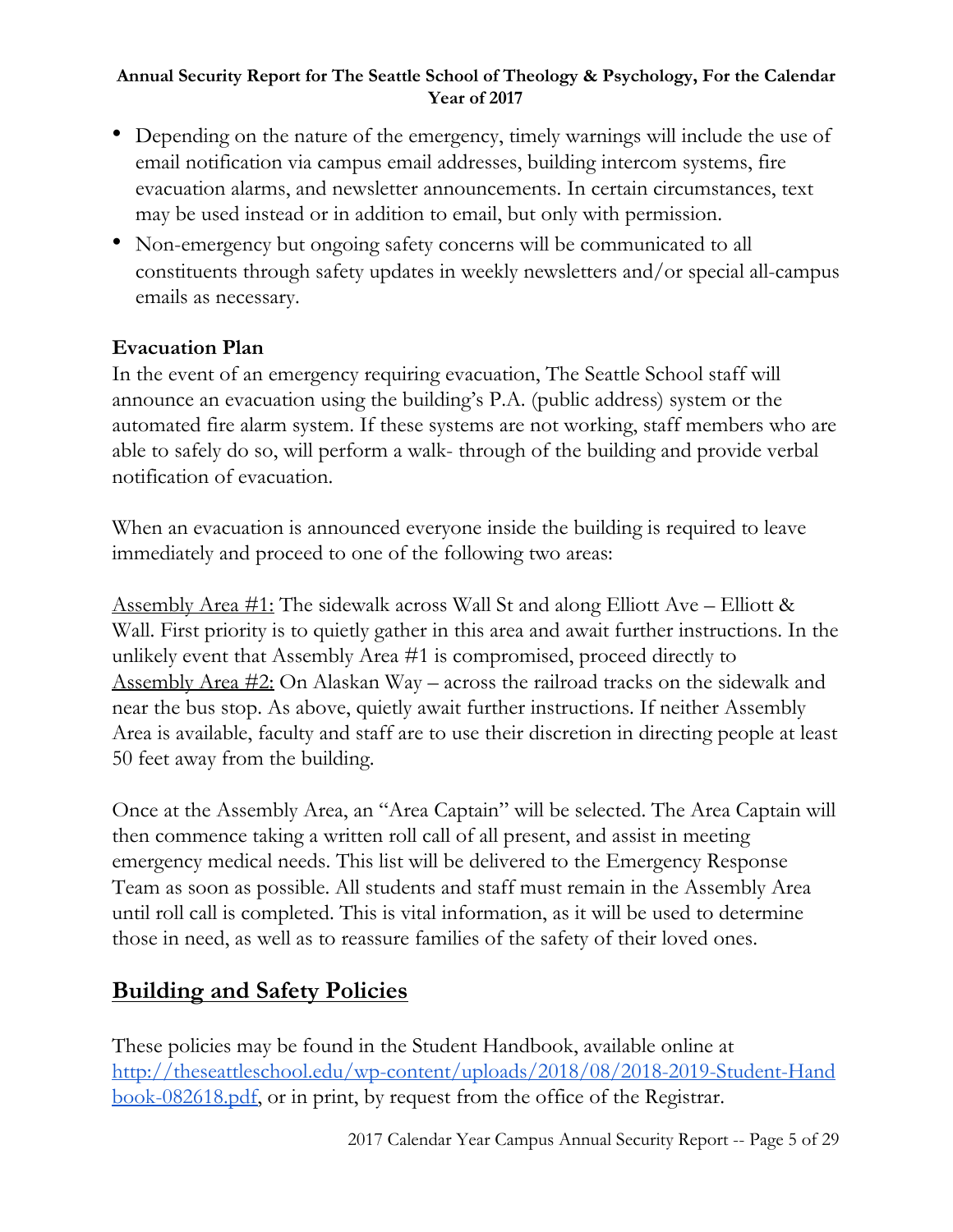- Depending on the nature of the emergency, timely warnings will include the use of email notification via campus email addresses, building intercom systems, fire evacuation alarms, and newsletter announcements. In certain circumstances, text may be used instead or in addition to email, but only with permission.
- Non-emergency but ongoing safety concerns will be communicated to all constituents through safety updates in weekly newsletters and/or special all-campus emails as necessary.

# **Evacuation Plan**

In the event of an emergency requiring evacuation, The Seattle School staff will announce an evacuation using the building's P.A. (public address) system or the automated fire alarm system. If these systems are not working, staff members who are able to safely do so, will perform a walk- through of the building and provide verbal notification of evacuation.

When an evacuation is announced everyone inside the building is required to leave immediately and proceed to one of the following two areas:

<u>Assembly Area #1:</u> The sidewalk across Wall St and along Elliott Ave – Elliott & Wall. First priority is to quietly gather in this area and await further instructions. In the unlikely event that Assembly Area #1 is compromised, proceed directly to <u>Assembly Area #2:</u> On Alaskan Way – across the railroad tracks on the sidewalk and near the bus stop. As above, quietly await further instructions. If neither Assembly Area is available, faculty and staff are to use their discretion in directing people at least 50 feet away from the building.

Once at the Assembly Area, an "Area Captain" will be selected. The Area Captain will then commence taking a written roll call of all present, and assist in meeting emergency medical needs. This list will be delivered to the Emergency Response Team as soon as possible. All students and staff must remain in the Assembly Area until roll call is completed. This is vital information, as it will be used to determine those in need, as well as to reassure families of the safety of their loved ones.

# **Building and Safety Policies**

These policies may be found in the Student Handbook, available online at [http://theseattleschool.edu/wp-content/uploads/2018/08/2018-2019-Student-Hand](http://theseattleschool.edu/wp-content/uploads/2018/08/2018-2019-Student-Handbook-082618.pdf) [book-082618.pdf,](http://theseattleschool.edu/wp-content/uploads/2018/08/2018-2019-Student-Handbook-082618.pdf) or in print, by request from the office of the Registrar.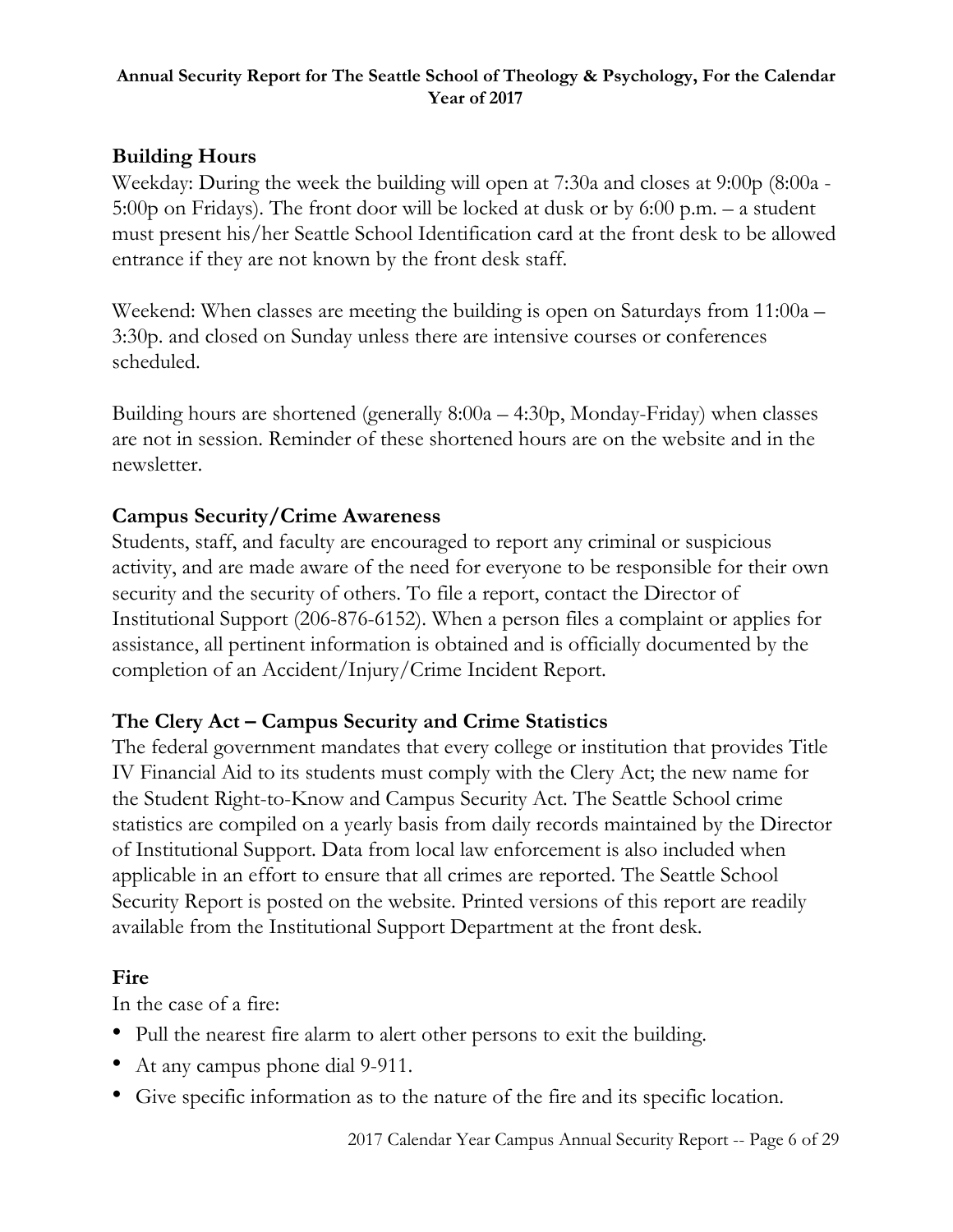# **Building Hours**

Weekday: During the week the building will open at 7:30a and closes at 9:00p (8:00a - 5:00p on Fridays). The front door will be locked at dusk or by 6:00 p.m. – a student must present his/her Seattle School Identification card at the front desk to be allowed entrance if they are not known by the front desk staff.

Weekend: When classes are meeting the building is open on Saturdays from 11:00a – 3:30p. and closed on Sunday unless there are intensive courses or conferences scheduled.

Building hours are shortened (generally 8:00a – 4:30p, Monday-Friday) when classes are not in session. Reminder of these shortened hours are on the website and in the newsletter.

# **Campus Security/Crime Awareness**

Students, staff, and faculty are encouraged to report any criminal or suspicious activity, and are made aware of the need for everyone to be responsible for their own security and the security of others. To file a report, contact the Director of Institutional Support (206-876-6152). When a person files a complaint or applies for assistance, all pertinent information is obtained and is officially documented by the completion of an Accident/Injury/Crime Incident Report.

# **The Clery Act – Campus Security and Crime Statistics**

The federal government mandates that every college or institution that provides Title IV Financial Aid to its students must comply with the Clery Act; the new name for the Student Right-to-Know and Campus Security Act. The Seattle School crime statistics are compiled on a yearly basis from daily records maintained by the Director of Institutional Support. Data from local law enforcement is also included when applicable in an effort to ensure that all crimes are reported. The Seattle School Security Report is posted on the website. Printed versions of this report are readily available from the Institutional Support Department at the front desk.

# **Fire**

In the case of a fire:

- Pull the nearest fire alarm to alert other persons to exit the building.
- At any campus phone dial 9-911.
- Give specific information as to the nature of the fire and its specific location.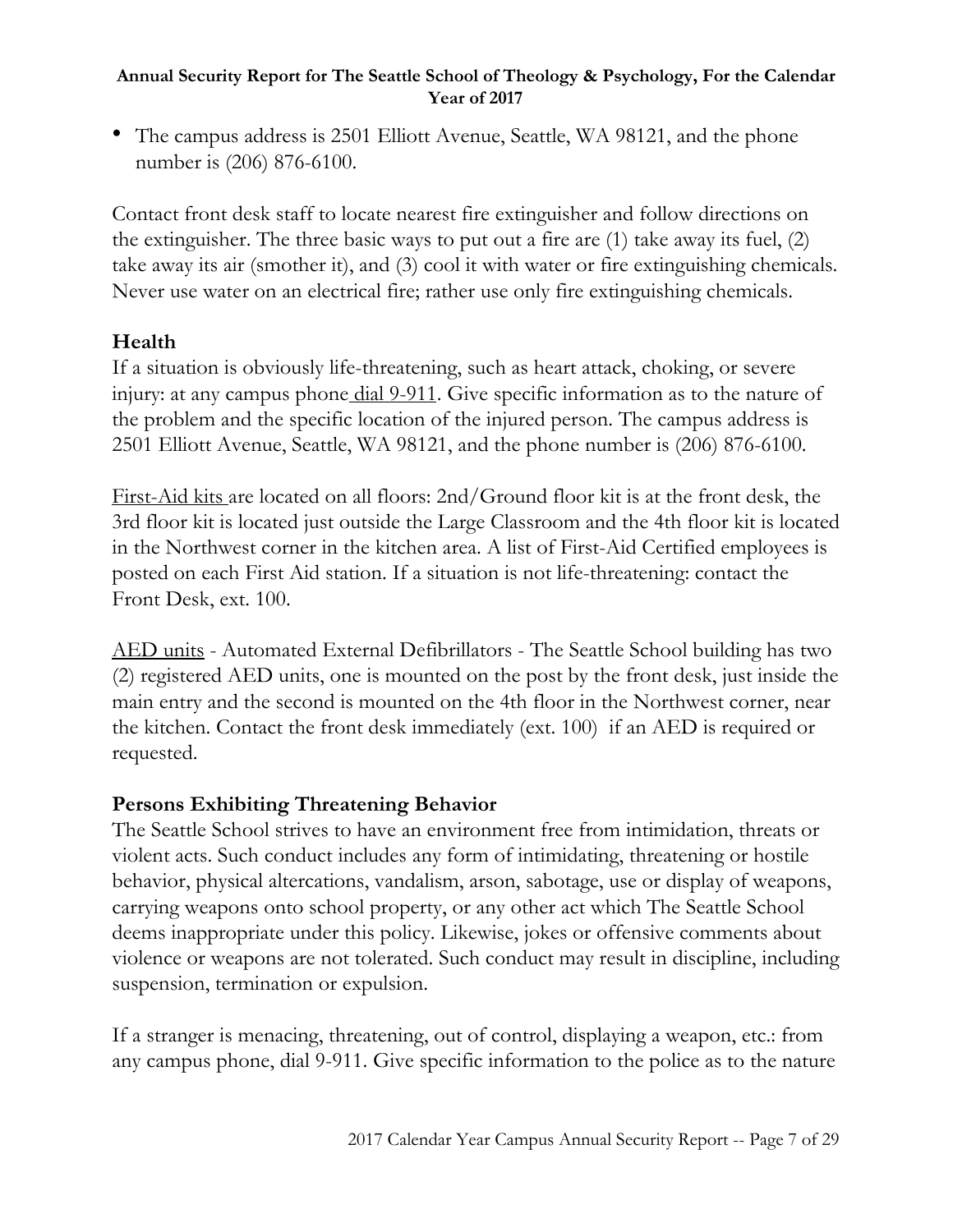• The campus address is 2501 Elliott Avenue, Seattle, WA 98121, and the phone number is (206) 876-6100.

Contact front desk staff to locate nearest fire extinguisher and follow directions on the extinguisher. The three basic ways to put out a fire are (1) take away its fuel, (2) take away its air (smother it), and (3) cool it with water or fire extinguishing chemicals. Never use water on an electrical fire; rather use only fire extinguishing chemicals.

# **Health**

If a situation is obviously life-threatening, such as heart attack, choking, or severe injury: at any campus phone dial 9-911. Give specific information as to the nature of the problem and the specific location of the injured person. The campus address is 2501 Elliott Avenue, Seattle, WA 98121, and the phone number is (206) 876-6100.

First-Aid kits are located on all floors: 2nd/Ground floor kit is at the front desk, the 3rd floor kit is located just outside the Large Classroom and the 4th floor kit is located in the Northwest corner in the kitchen area. A list of First-Aid Certified employees is posted on each First Aid station. If a situation is not life-threatening: contact the Front Desk, ext. 100.

AED units - Automated External Defibrillators - The Seattle School building has two (2) registered AED units, one is mounted on the post by the front desk, just inside the main entry and the second is mounted on the 4th floor in the Northwest corner, near the kitchen. Contact the front desk immediately (ext. 100) if an AED is required or requested.

# **Persons Exhibiting Threatening Behavior**

The Seattle School strives to have an environment free from intimidation, threats or violent acts. Such conduct includes any form of intimidating, threatening or hostile behavior, physical altercations, vandalism, arson, sabotage, use or display of weapons, carrying weapons onto school property, or any other act which The Seattle School deems inappropriate under this policy. Likewise, jokes or offensive comments about violence or weapons are not tolerated. Such conduct may result in discipline, including suspension, termination or expulsion.

If a stranger is menacing, threatening, out of control, displaying a weapon, etc.: from any campus phone, dial 9-911. Give specific information to the police as to the nature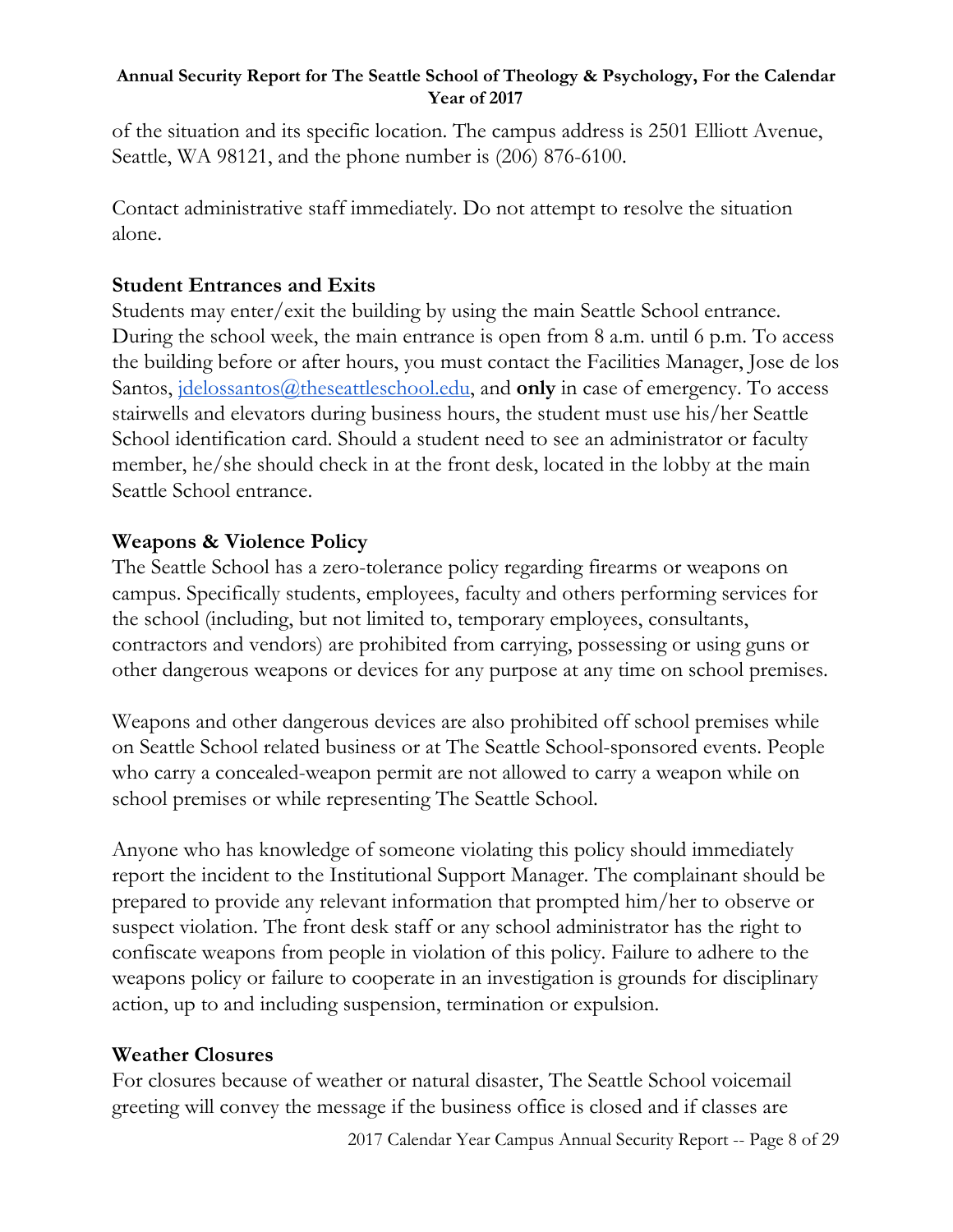of the situation and its specific location. The campus address is 2501 Elliott Avenue, Seattle, WA 98121, and the phone number is (206) 876-6100.

Contact administrative staff immediately. Do not attempt to resolve the situation alone.

# **Student Entrances and Exits**

Students may enter/exit the building by using the main Seattle School entrance. During the school week, the main entrance is open from 8 a.m. until 6 p.m. To access the building before or after hours, you must contact the Facilities Manager, Jose de los Santos, <u>idelossantos@theseattleschool.edu</u>, and **only** in case of emergency. To access stairwells and elevators during business hours, the student must use his/her Seattle School identification card. Should a student need to see an administrator or faculty member, he/she should check in at the front desk, located in the lobby at the main Seattle School entrance.

# **Weapons & Violence Policy**

The Seattle School has a zero-tolerance policy regarding firearms or weapons on campus. Specifically students, employees, faculty and others performing services for the school (including, but not limited to, temporary employees, consultants, contractors and vendors) are prohibited from carrying, possessing or using guns or other dangerous weapons or devices for any purpose at any time on school premises.

Weapons and other dangerous devices are also prohibited off school premises while on Seattle School related business or at The Seattle School-sponsored events. People who carry a concealed-weapon permit are not allowed to carry a weapon while on school premises or while representing The Seattle School.

Anyone who has knowledge of someone violating this policy should immediately report the incident to the Institutional Support Manager. The complainant should be prepared to provide any relevant information that prompted him/her to observe or suspect violation. The front desk staff or any school administrator has the right to confiscate weapons from people in violation of this policy. Failure to adhere to the weapons policy or failure to cooperate in an investigation is grounds for disciplinary action, up to and including suspension, termination or expulsion.

# **Weather Closures**

For closures because of weather or natural disaster, The Seattle School voicemail greeting will convey the message if the business office is closed and if classes are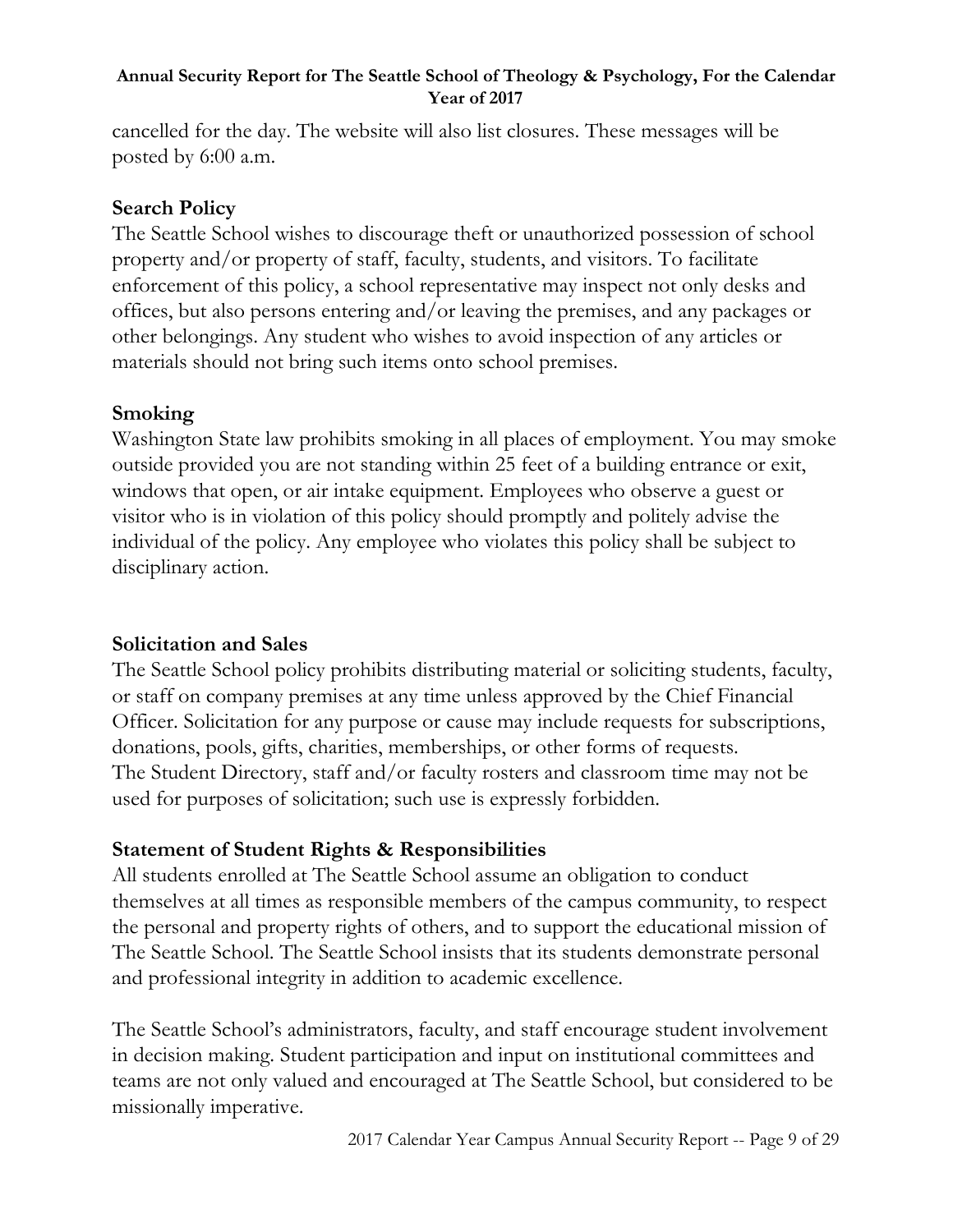cancelled for the day. The website will also list closures. These messages will be posted by 6:00 a.m.

# **Search Policy**

The Seattle School wishes to discourage theft or unauthorized possession of school property and/or property of staff, faculty, students, and visitors. To facilitate enforcement of this policy, a school representative may inspect not only desks and offices, but also persons entering and/or leaving the premises, and any packages or other belongings. Any student who wishes to avoid inspection of any articles or materials should not bring such items onto school premises.

# **Smoking**

Washington State law prohibits smoking in all places of employment. You may smoke outside provided you are not standing within 25 feet of a building entrance or exit, windows that open, or air intake equipment. Employees who observe a guest or visitor who is in violation of this policy should promptly and politely advise the individual of the policy. Any employee who violates this policy shall be subject to disciplinary action.

# **Solicitation and Sales**

The Seattle School policy prohibits distributing material or soliciting students, faculty, or staff on company premises at any time unless approved by the Chief Financial Officer. Solicitation for any purpose or cause may include requests for subscriptions, donations, pools, gifts, charities, memberships, or other forms of requests. The Student Directory, staff and/or faculty rosters and classroom time may not be used for purposes of solicitation; such use is expressly forbidden.

# **Statement of Student Rights & Responsibilities**

All students enrolled at The Seattle School assume an obligation to conduct themselves at all times as responsible members of the campus community, to respect the personal and property rights of others, and to support the educational mission of The Seattle School. The Seattle School insists that its students demonstrate personal and professional integrity in addition to academic excellence.

The Seattle School's administrators, faculty, and staff encourage student involvement in decision making. Student participation and input on institutional committees and teams are not only valued and encouraged at The Seattle School, but considered to be missionally imperative.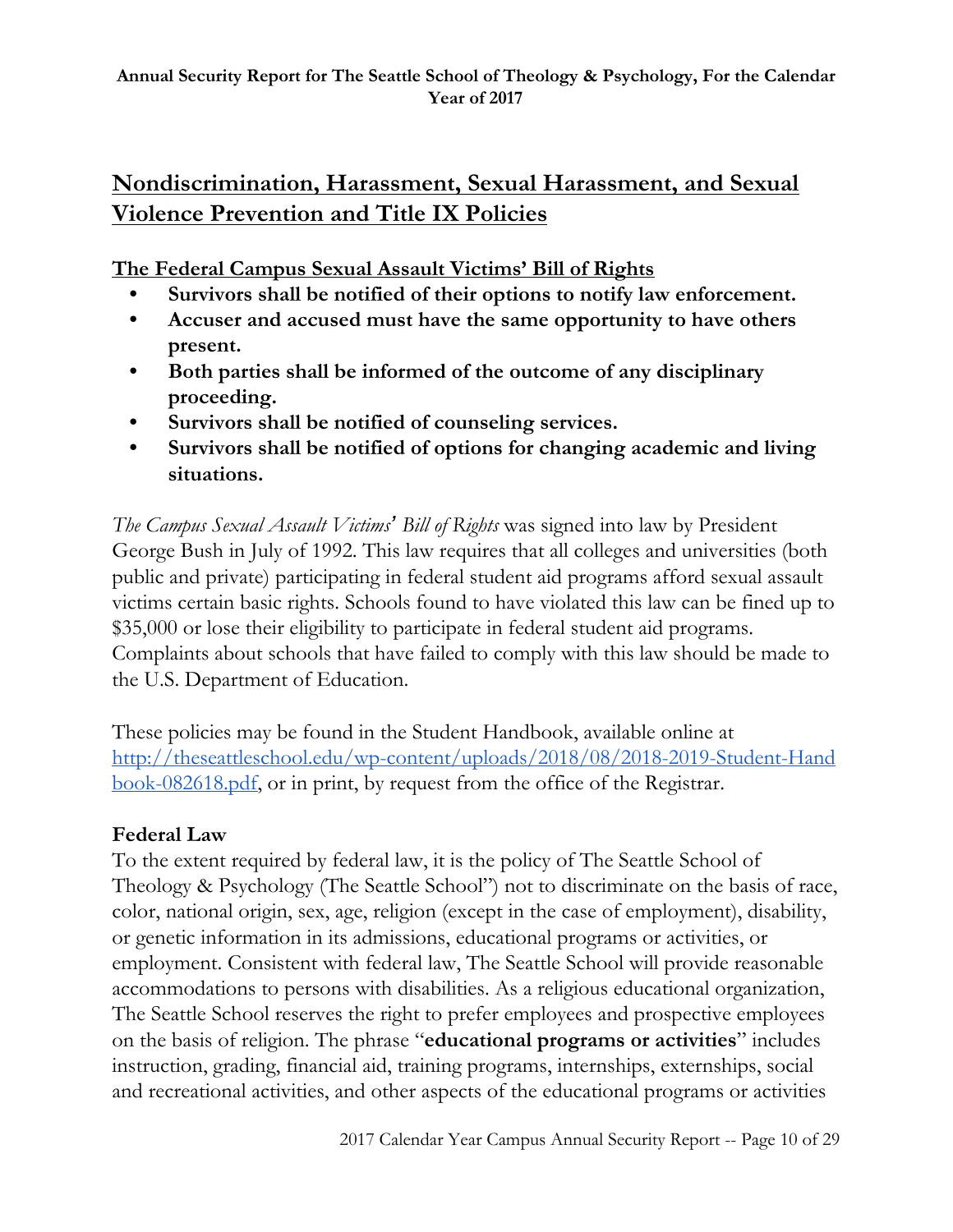# **Nondiscrimination, Harassment, Sexual Harassment, and Sexual Violence Prevention and Title IX Policies**

**The Federal Campus Sexual Assault Victims' Bill of Rights**

- **• Survivors shall be notified of their options to notify law enforcement.**
- **• Accuser and accused must have the same opportunity to have others present.**
- **• Both parties shall be informed of the outcome of any disciplinary proceeding.**
- **• Survivors shall be notified of counseling services.**
- **• Survivors shall be notified of options for changing academic and living situations.**

*The Campus Sexual Assault Victims' Bill of Rights* was signed into law by President George Bush in July of 1992. This law requires that all colleges and universities (both public and private) participating in federal student aid programs afford sexual assault victims certain basic rights. Schools found to have violated this law can be fined up to \$35,000 or lose their eligibility to participate in federal student aid programs. Complaints about schools that have failed to comply with this law should be made to the U.S. Department of Education.

These policies may be found in the Student Handbook, available online at [http://theseattleschool.edu/wp-content/uploads/2018/08/2018-2019-Student-Hand](http://theseattleschool.edu/wp-content/uploads/2018/08/2018-2019-Student-Handbook-082618.pdf) [book-082618.pdf,](http://theseattleschool.edu/wp-content/uploads/2018/08/2018-2019-Student-Handbook-082618.pdf) or in print, by request from the office of the Registrar.

# **Federal Law**

To the extent required by federal law, it is the policy of The Seattle School of Theology & Psychology (The Seattle School") not to discriminate on the basis of race, color, national origin, sex, age, religion (except in the case of employment), disability, or genetic information in its admissions, educational programs or activities, or employment. Consistent with federal law, The Seattle School will provide reasonable accommodations to persons with disabilities. As a religious educational organization, The Seattle School reserves the right to prefer employees and prospective employees on the basis of religion. The phrase "**educational programs or activities**" includes instruction, grading, financial aid, training programs, internships, externships, social and recreational activities, and other aspects of the educational programs or activities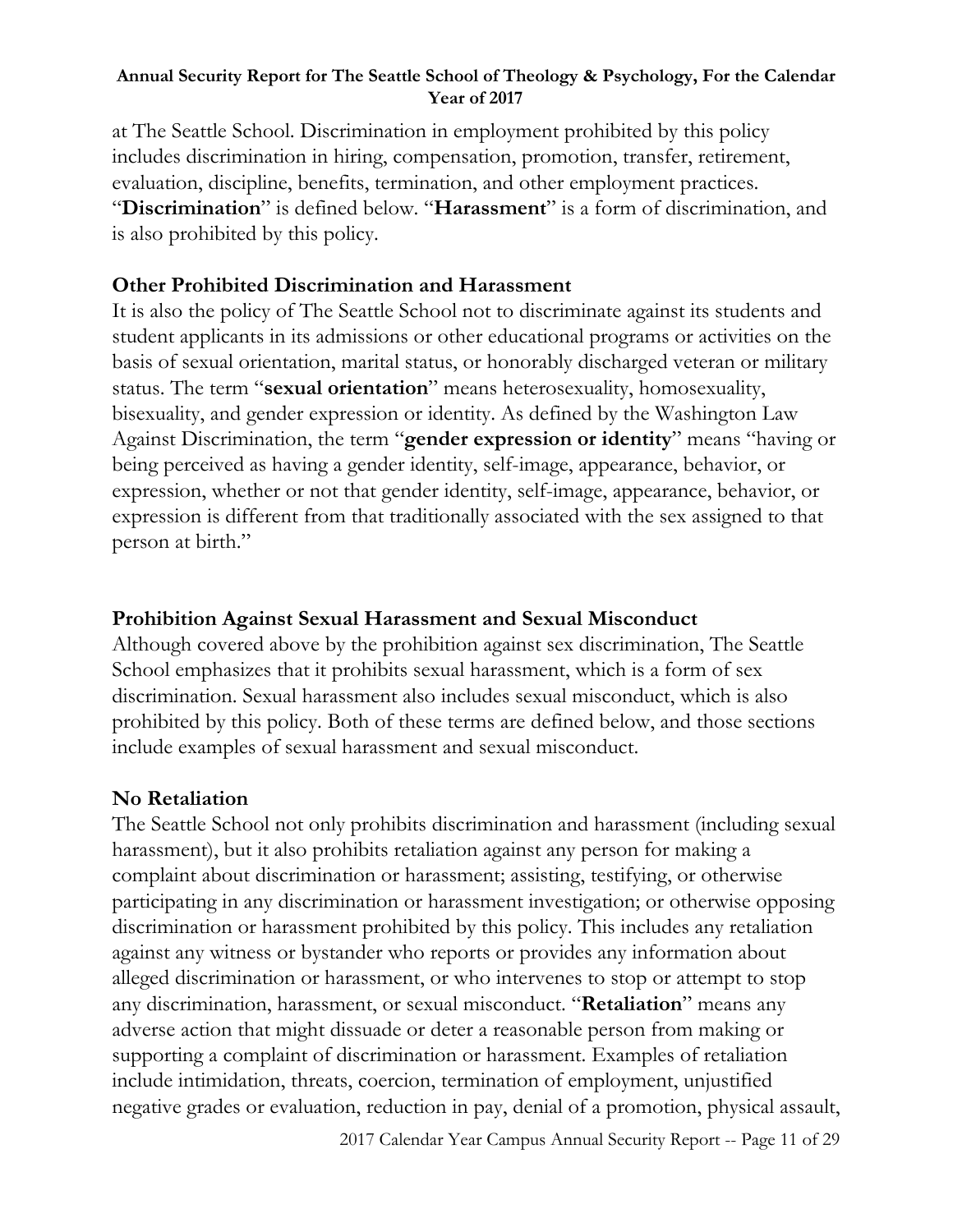at The Seattle School. Discrimination in employment prohibited by this policy includes discrimination in hiring, compensation, promotion, transfer, retirement, evaluation, discipline, benefits, termination, and other employment practices. "**Discrimination**" is defined below. "**Harassment**" is a form of discrimination, and is also prohibited by this policy.

# **Other Prohibited Discrimination and Harassment**

It is also the policy of The Seattle School not to discriminate against its students and student applicants in its admissions or other educational programs or activities on the basis of sexual orientation, marital status, or honorably discharged veteran or military status. The term "**sexual orientation**" means heterosexuality, homosexuality, bisexuality, and gender expression or identity. As defined by the Washington Law Against Discrimination, the term "**gender expression or identity**" means "having or being perceived as having a gender identity, self-image, appearance, behavior, or expression, whether or not that gender identity, self-image, appearance, behavior, or expression is different from that traditionally associated with the sex assigned to that person at birth."

# **Prohibition Against Sexual Harassment and Sexual Misconduct**

Although covered above by the prohibition against sex discrimination, The Seattle School emphasizes that it prohibits sexual harassment, which is a form of sex discrimination. Sexual harassment also includes sexual misconduct, which is also prohibited by this policy. Both of these terms are defined below, and those sections include examples of sexual harassment and sexual misconduct.

# **No Retaliation**

The Seattle School not only prohibits discrimination and harassment (including sexual harassment), but it also prohibits retaliation against any person for making a complaint about discrimination or harassment; assisting, testifying, or otherwise participating in any discrimination or harassment investigation; or otherwise opposing discrimination or harassment prohibited by this policy. This includes any retaliation against any witness or bystander who reports or provides any information about alleged discrimination or harassment, or who intervenes to stop or attempt to stop any discrimination, harassment, or sexual misconduct. "**Retaliation**" means any adverse action that might dissuade or deter a reasonable person from making or supporting a complaint of discrimination or harassment. Examples of retaliation include intimidation, threats, coercion, termination of employment, unjustified negative grades or evaluation, reduction in pay, denial of a promotion, physical assault,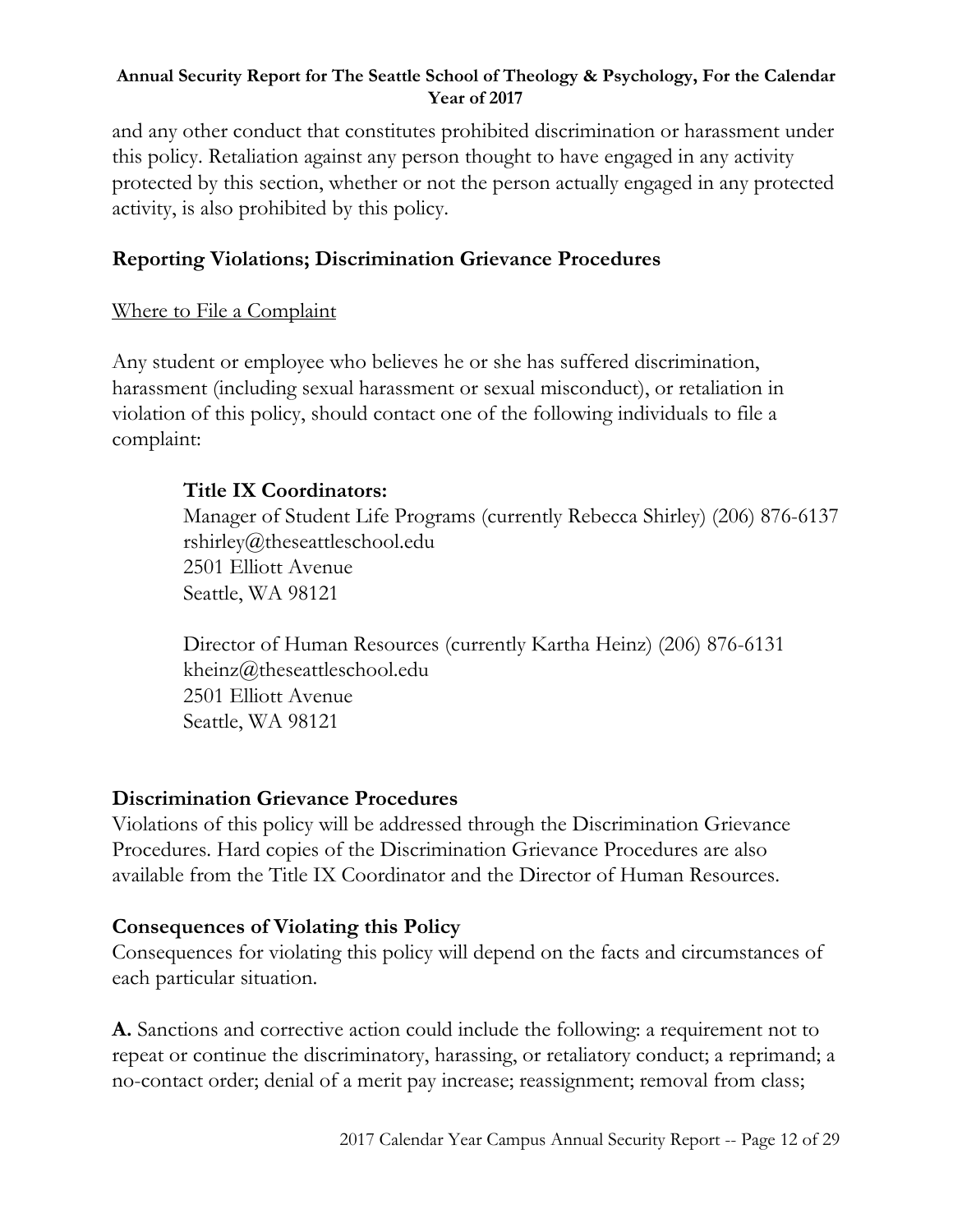and any other conduct that constitutes prohibited discrimination or harassment under this policy. Retaliation against any person thought to have engaged in any activity protected by this section, whether or not the person actually engaged in any protected activity, is also prohibited by this policy.

# **Reporting Violations; Discrimination Grievance Procedures**

# Where to File a Complaint

Any student or employee who believes he or she has suffered discrimination, harassment (including sexual harassment or sexual misconduct), or retaliation in violation of this policy, should contact one of the following individuals to file a complaint:

# **Title IX Coordinators:**

Manager of Student Life Programs (currently Rebecca Shirley) (206) 876-6137 rshirley@theseattleschool.edu 2501 Elliott Avenue Seattle, WA 98121

Director of Human Resources (currently Kartha Heinz) (206) 876-6131 kheinz@theseattleschool.edu 2501 Elliott Avenue Seattle, WA 98121

# **Discrimination Grievance Procedures**

Violations of this policy will be addressed through the Discrimination Grievance Procedures. Hard copies of the Discrimination Grievance Procedures are also available from the Title IX Coordinator and the Director of Human Resources.

# **Consequences of Violating this Policy**

Consequences for violating this policy will depend on the facts and circumstances of each particular situation.

**A.** Sanctions and corrective action could include the following: a requirement not to repeat or continue the discriminatory, harassing, or retaliatory conduct; a reprimand; a no-contact order; denial of a merit pay increase; reassignment; removal from class;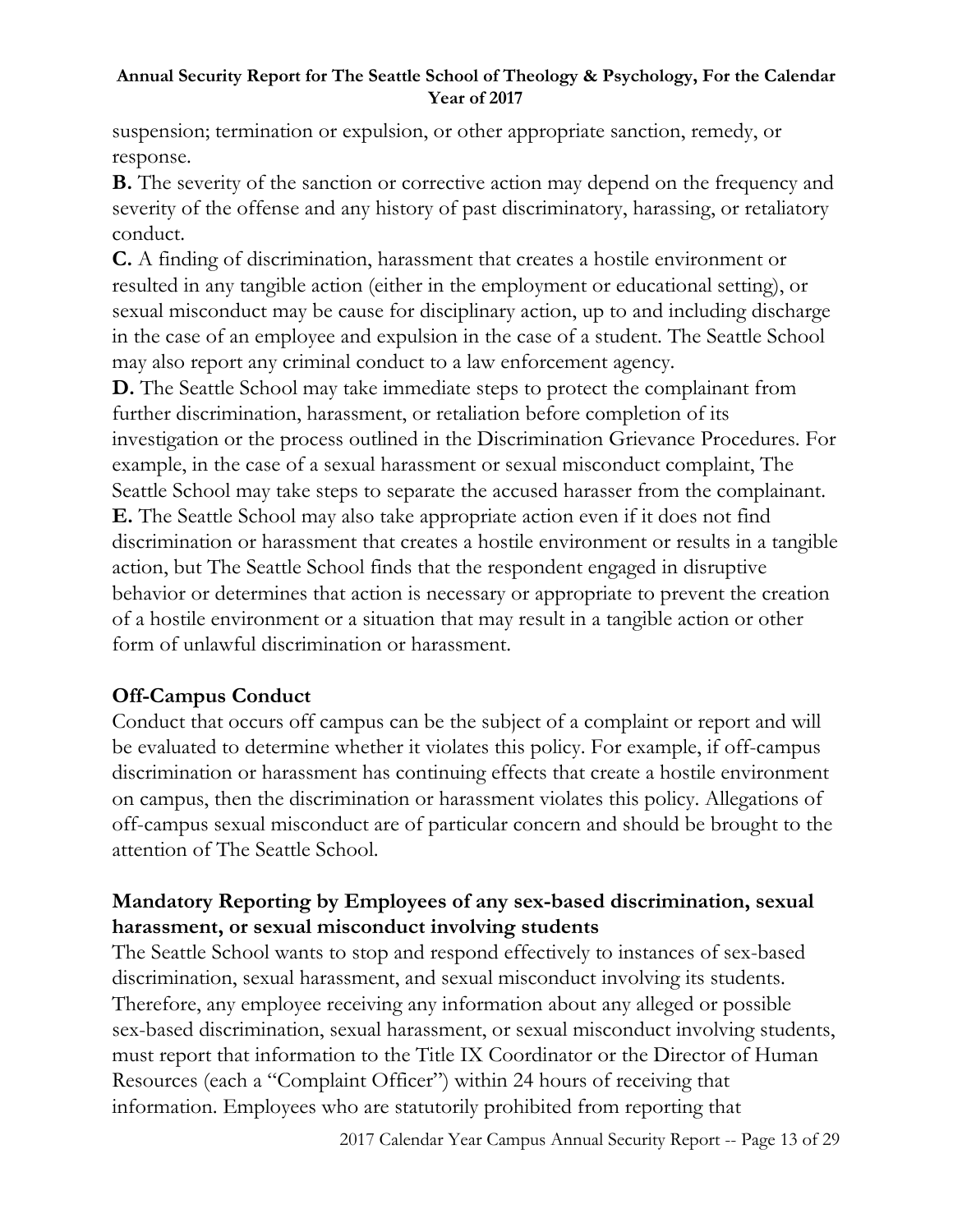suspension; termination or expulsion, or other appropriate sanction, remedy, or response.

**B.** The severity of the sanction or corrective action may depend on the frequency and severity of the offense and any history of past discriminatory, harassing, or retaliatory conduct.

**C.** A finding of discrimination, harassment that creates a hostile environment or resulted in any tangible action (either in the employment or educational setting), or sexual misconduct may be cause for disciplinary action, up to and including discharge in the case of an employee and expulsion in the case of a student. The Seattle School may also report any criminal conduct to a law enforcement agency.

**D.** The Seattle School may take immediate steps to protect the complainant from further discrimination, harassment, or retaliation before completion of its investigation or the process outlined in the Discrimination Grievance Procedures. For example, in the case of a sexual harassment or sexual misconduct complaint, The Seattle School may take steps to separate the accused harasser from the complainant. **E.** The Seattle School may also take appropriate action even if it does not find discrimination or harassment that creates a hostile environment or results in a tangible action, but The Seattle School finds that the respondent engaged in disruptive behavior or determines that action is necessary or appropriate to prevent the creation of a hostile environment or a situation that may result in a tangible action or other form of unlawful discrimination or harassment.

# **Off-Campus Conduct**

Conduct that occurs off campus can be the subject of a complaint or report and will be evaluated to determine whether it violates this policy. For example, if off-campus discrimination or harassment has continuing effects that create a hostile environment on campus, then the discrimination or harassment violates this policy. Allegations of off-campus sexual misconduct are of particular concern and should be brought to the attention of The Seattle School.

# **Mandatory Reporting by Employees of any sex-based discrimination, sexual harassment, or sexual misconduct involving students**

The Seattle School wants to stop and respond effectively to instances of sex-based discrimination, sexual harassment, and sexual misconduct involving its students. Therefore, any employee receiving any information about any alleged or possible sex-based discrimination, sexual harassment, or sexual misconduct involving students, must report that information to the Title IX Coordinator or the Director of Human Resources (each a "Complaint Officer") within 24 hours of receiving that information. Employees who are statutorily prohibited from reporting that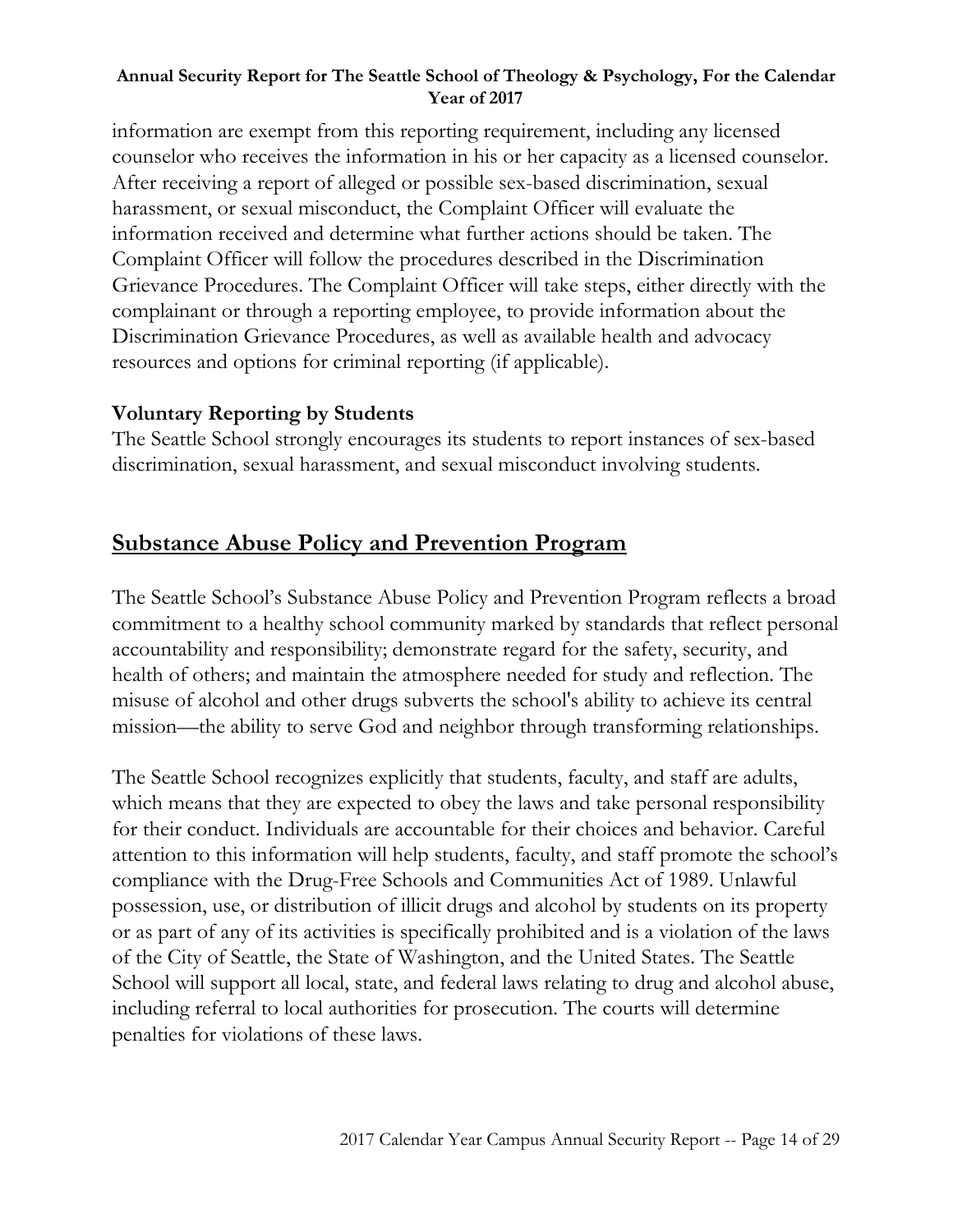information are exempt from this reporting requirement, including any licensed counselor who receives the information in his or her capacity as a licensed counselor. After receiving a report of alleged or possible sex-based discrimination, sexual harassment, or sexual misconduct, the Complaint Officer will evaluate the information received and determine what further actions should be taken. The Complaint Officer will follow the procedures described in the Discrimination Grievance Procedures. The Complaint Officer will take steps, either directly with the complainant or through a reporting employee, to provide information about the Discrimination Grievance Procedures, as well as available health and advocacy resources and options for criminal reporting (if applicable).

# **Voluntary Reporting by Students**

The Seattle School strongly encourages its students to report instances of sex-based discrimination, sexual harassment, and sexual misconduct involving students.

# **Substance Abuse Policy and Prevention Program**

The Seattle School's Substance Abuse Policy and Prevention Program reflects a broad commitment to a healthy school community marked by standards that reflect personal accountability and responsibility; demonstrate regard for the safety, security, and health of others; and maintain the atmosphere needed for study and reflection. The misuse of alcohol and other drugs subverts the school's ability to achieve its central mission—the ability to serve God and neighbor through transforming relationships.

The Seattle School recognizes explicitly that students, faculty, and staff are adults, which means that they are expected to obey the laws and take personal responsibility for their conduct. Individuals are accountable for their choices and behavior. Careful attention to this information will help students, faculty, and staff promote the school's compliance with the Drug-Free Schools and Communities Act of 1989. Unlawful possession, use, or distribution of illicit drugs and alcohol by students on its property or as part of any of its activities is specifically prohibited and is a violation of the laws of the City of Seattle, the State of Washington, and the United States. The Seattle School will support all local, state, and federal laws relating to drug and alcohol abuse, including referral to local authorities for prosecution. The courts will determine penalties for violations of these laws.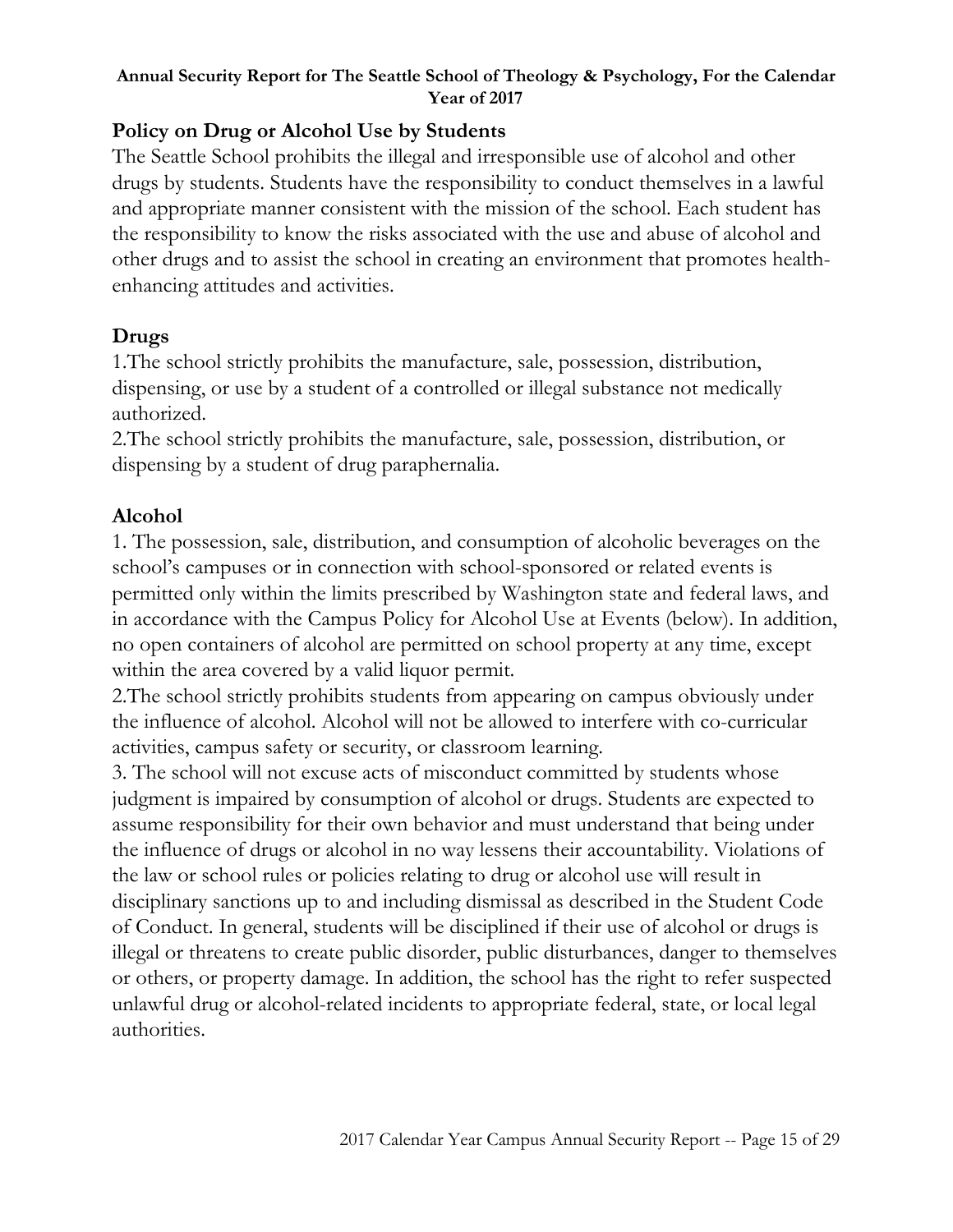# **Policy on Drug or Alcohol Use by Students**

The Seattle School prohibits the illegal and irresponsible use of alcohol and other drugs by students. Students have the responsibility to conduct themselves in a lawful and appropriate manner consistent with the mission of the school. Each student has the responsibility to know the risks associated with the use and abuse of alcohol and other drugs and to assist the school in creating an environment that promotes healthenhancing attitudes and activities.

# **Drugs**

1.The school strictly prohibits the manufacture, sale, possession, distribution, dispensing, or use by a student of a controlled or illegal substance not medically authorized.

2.The school strictly prohibits the manufacture, sale, possession, distribution, or dispensing by a student of drug paraphernalia.

# **Alcohol**

1. The possession, sale, distribution, and consumption of alcoholic beverages on the school's campuses or in connection with school-sponsored or related events is permitted only within the limits prescribed by Washington state and federal laws, and in accordance with the Campus Policy for Alcohol Use at Events (below). In addition, no open containers of alcohol are permitted on school property at any time, except within the area covered by a valid liquor permit.

2.The school strictly prohibits students from appearing on campus obviously under the influence of alcohol. Alcohol will not be allowed to interfere with co-curricular activities, campus safety or security, or classroom learning.

3. The school will not excuse acts of misconduct committed by students whose judgment is impaired by consumption of alcohol or drugs. Students are expected to assume responsibility for their own behavior and must understand that being under the influence of drugs or alcohol in no way lessens their accountability. Violations of the law or school rules or policies relating to drug or alcohol use will result in disciplinary sanctions up to and including dismissal as described in the Student Code of Conduct. In general, students will be disciplined if their use of alcohol or drugs is illegal or threatens to create public disorder, public disturbances, danger to themselves or others, or property damage. In addition, the school has the right to refer suspected unlawful drug or alcohol-related incidents to appropriate federal, state, or local legal authorities.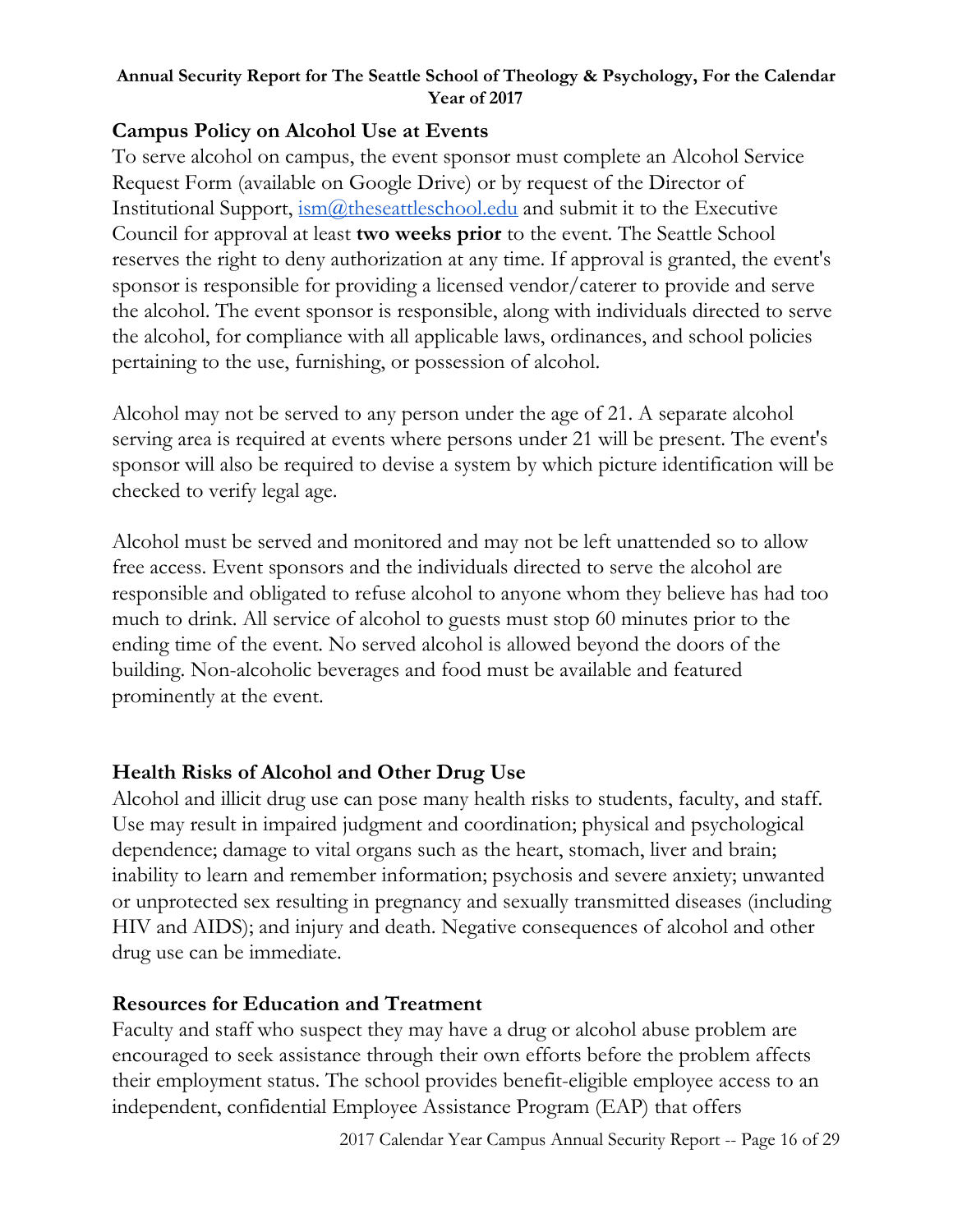# **Campus Policy on Alcohol Use at Events**

To serve alcohol on campus, the event sponsor must complete an Alcohol Service Request Form (available on Google Drive) or by request of the Director of Institutional Support,  $\frac{1}{2}$  ism( $\omega$ ) theseattleschool.edu and submit it to the Executive Council for approval at least **two weeks prior** to the event. The Seattle School reserves the right to deny authorization at any time. If approval is granted, the event's sponsor is responsible for providing a licensed vendor/caterer to provide and serve the alcohol. The event sponsor is responsible, along with individuals directed to serve the alcohol, for compliance with all applicable laws, ordinances, and school policies pertaining to the use, furnishing, or possession of alcohol.

Alcohol may not be served to any person under the age of 21. A separate alcohol serving area is required at events where persons under 21 will be present. The event's sponsor will also be required to devise a system by which picture identification will be checked to verify legal age.

Alcohol must be served and monitored and may not be left unattended so to allow free access. Event sponsors and the individuals directed to serve the alcohol are responsible and obligated to refuse alcohol to anyone whom they believe has had too much to drink. All service of alcohol to guests must stop 60 minutes prior to the ending time of the event. No served alcohol is allowed beyond the doors of the building. Non-alcoholic beverages and food must be available and featured prominently at the event.

# **Health Risks of Alcohol and Other Drug Use**

Alcohol and illicit drug use can pose many health risks to students, faculty, and staff. Use may result in impaired judgment and coordination; physical and psychological dependence; damage to vital organs such as the heart, stomach, liver and brain; inability to learn and remember information; psychosis and severe anxiety; unwanted or unprotected sex resulting in pregnancy and sexually transmitted diseases (including HIV and AIDS); and injury and death. Negative consequences of alcohol and other drug use can be immediate.

# **Resources for Education and Treatment**

Faculty and staff who suspect they may have a drug or alcohol abuse problem are encouraged to seek assistance through their own efforts before the problem affects their employment status. The school provides benefit-eligible employee access to an independent, confidential Employee Assistance Program (EAP) that offers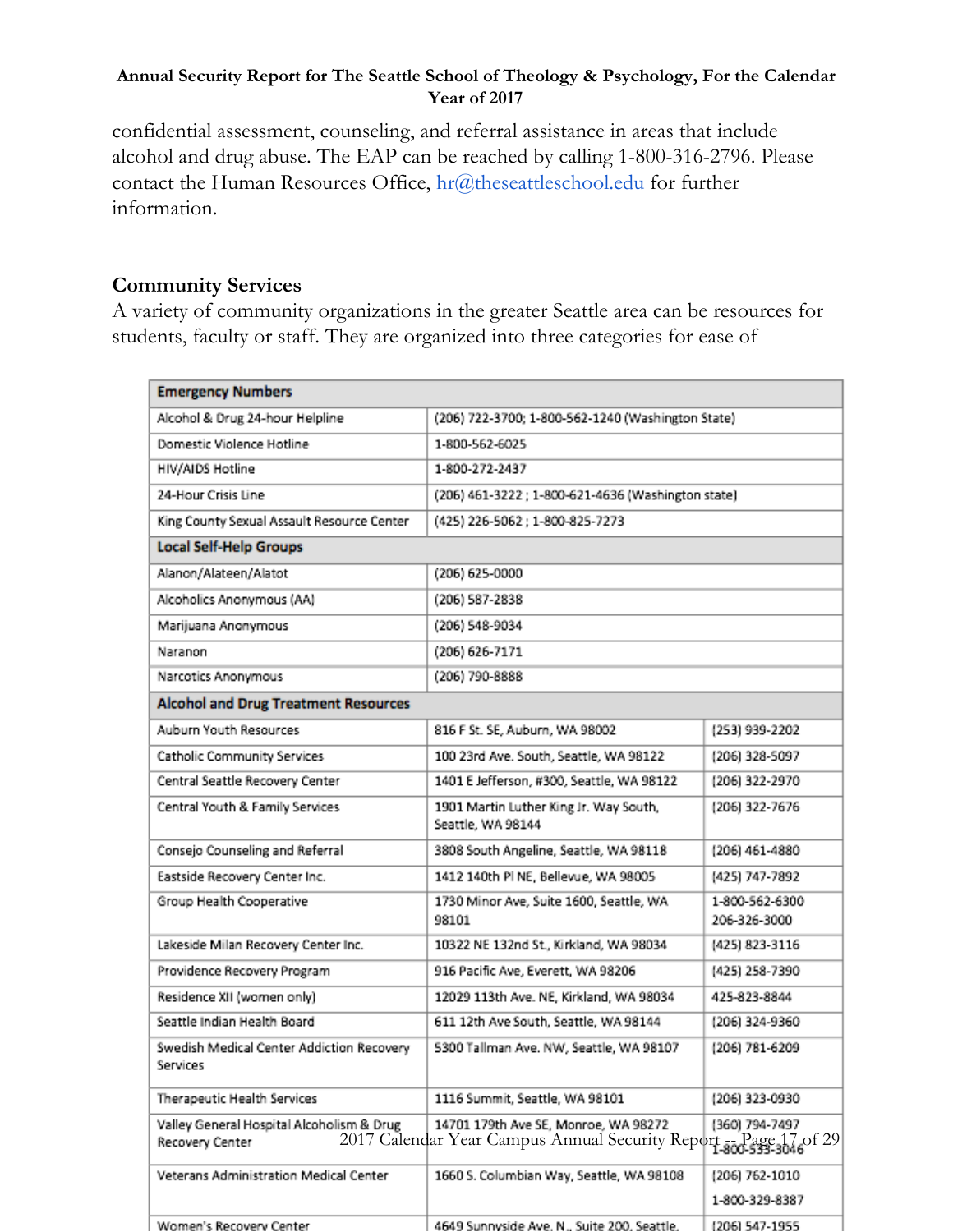confidential assessment, counseling, and referral assistance in areas that include alcohol and drug abuse. The EAP can be reached by calling 1-800-316-2796. Please contact the Human Resources Office, [hr@theseattleschool.edu](mailto:hr@theseattleschool.edu) for further information.

# **Community Services**

A variety of community organizations in the greater Seattle area can be resources for students, faculty or staff. They are organized into three categories for ease of

| <b>Emergency Numbers</b>                                     |                                                                                                          |                                |  |
|--------------------------------------------------------------|----------------------------------------------------------------------------------------------------------|--------------------------------|--|
| Alcohol & Drug 24-hour Helpline                              | (206) 722-3700; 1-800-562-1240 (Washington State)                                                        |                                |  |
| Domestic Violence Hotline                                    | 1-800-562-6025                                                                                           |                                |  |
| HIV/AIDS Hotline                                             | 1-800-272-2437                                                                                           |                                |  |
| 24-Hour Crisis Line                                          | (206) 461-3222 ; 1-800-621-4636 (Washington state)                                                       |                                |  |
| King County Sexual Assault Resource Center                   | (425) 226-5062; 1-800-825-7273                                                                           |                                |  |
| <b>Local Self-Help Groups</b>                                |                                                                                                          |                                |  |
| Alanon/Alateen/Alatot                                        | (206) 625-0000                                                                                           |                                |  |
| Alcoholics Anonymous (AA)                                    | (206) 587-2838                                                                                           |                                |  |
| Marijuana Anonymous                                          | (206) 548-9034                                                                                           |                                |  |
| Naranon                                                      | (206) 626-7171                                                                                           |                                |  |
| Narcotics Anonymous                                          | (206) 790-8888                                                                                           |                                |  |
| <b>Alcohol and Drug Treatment Resources</b>                  |                                                                                                          |                                |  |
| Auburn Youth Resources                                       | 816 F St. SE, Auburn, WA 98002                                                                           | (253) 939-2202                 |  |
| Catholic Community Services                                  | 100 23rd Ave. South, Seattle, WA 98122                                                                   | (206) 328-5097                 |  |
| Central Seattle Recovery Center                              | 1401 E Jefferson, #300, Seattle, WA 98122                                                                | (206) 322-2970                 |  |
| Central Youth & Family Services                              | 1901 Martin Luther King Jr. Way South,<br>Seattle, WA 98144                                              | (206) 322-7676                 |  |
| Consejo Counseling and Referral                              | 3808 South Angeline, Seattle, WA 98118                                                                   | (206) 461-4880                 |  |
| Eastside Recovery Center Inc.                                | 1412 140th PI NE, Bellevue, WA 98005                                                                     | (425) 747-7892                 |  |
| Group Health Cooperative                                     | 1730 Minor Ave, Suite 1600, Seattle, WA<br>98101                                                         | 1-800-562-6300<br>206-326-3000 |  |
| Lakeside Milan Recovery Center Inc.                          | 10322 NE 132nd St., Kirkland, WA 98034                                                                   | (425) 823-3116                 |  |
| Providence Recovery Program                                  | 916 Pacific Ave, Everett, WA 98206                                                                       | (425) 258-7390                 |  |
| Residence XII (women only)                                   | 12029 113th Ave. NE, Kirkland, WA 98034                                                                  | 425-823-8844                   |  |
| Seattle Indian Health Board                                  | 611 12th Ave South, Seattle, WA 98144                                                                    | (206) 324-9360                 |  |
| Swedish Medical Center Addiction Recovery<br>Services        | 5300 Tallman Ave. NW, Seattle, WA 98107                                                                  | (206) 781-6209                 |  |
| Therapeutic Health Services                                  | 1116 Summit, Seattle, WA 98101                                                                           | (206) 323-0930                 |  |
| Valley General Hospital Alcoholism & Drug<br>Recovery Center | 14701 179th Ave SE, Monroe, WA 98272<br>2017 Calendar Year Campus Annual Security Report - Page 17 of 29 | (360) 794-7497                 |  |
| Veterans Administration Medical Center                       | 1660 S. Columbian Way, Seattle, WA 98108                                                                 | (206) 762-1010                 |  |
|                                                              |                                                                                                          | 1-800-329-8387                 |  |
| Women's Recovery Center                                      | 4649 Sunnvside Ave. N., Suite 200. Seattle.                                                              | (206) 547-1955                 |  |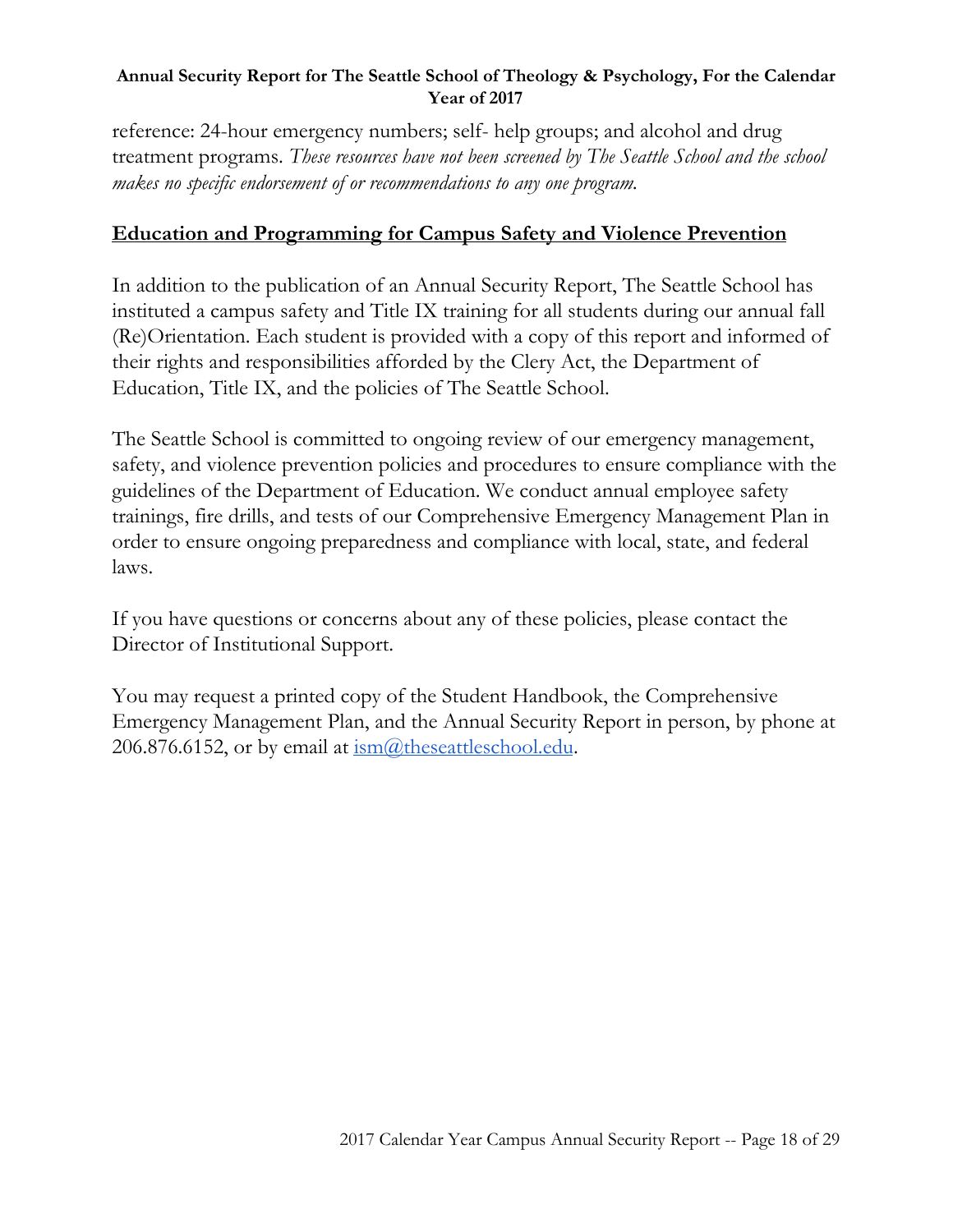reference: 24-hour emergency numbers; self- help groups; and alcohol and drug treatment programs. *These resources have not been screened by The Seattle School and the school makes no specific endorsement of or recommendations to any one program.*

# **Education and Programming for Campus Safety and Violence Prevention**

In addition to the publication of an Annual Security Report, The Seattle School has instituted a campus safety and Title IX training for all students during our annual fall (Re)Orientation. Each student is provided with a copy of this report and informed of their rights and responsibilities afforded by the Clery Act, the Department of Education, Title IX, and the policies of The Seattle School.

The Seattle School is committed to ongoing review of our emergency management, safety, and violence prevention policies and procedures to ensure compliance with the guidelines of the Department of Education. We conduct annual employee safety trainings, fire drills, and tests of our Comprehensive Emergency Management Plan in order to ensure ongoing preparedness and compliance with local, state, and federal laws.

If you have questions or concerns about any of these policies, please contact the Director of Institutional Support.

You may request a printed copy of the Student Handbook, the Comprehensive Emergency Management Plan, and the Annual Security Report in person, by phone at 206.876.6152, or by email at  $\frac{\text{ism}(a)$ , these attles chooledu.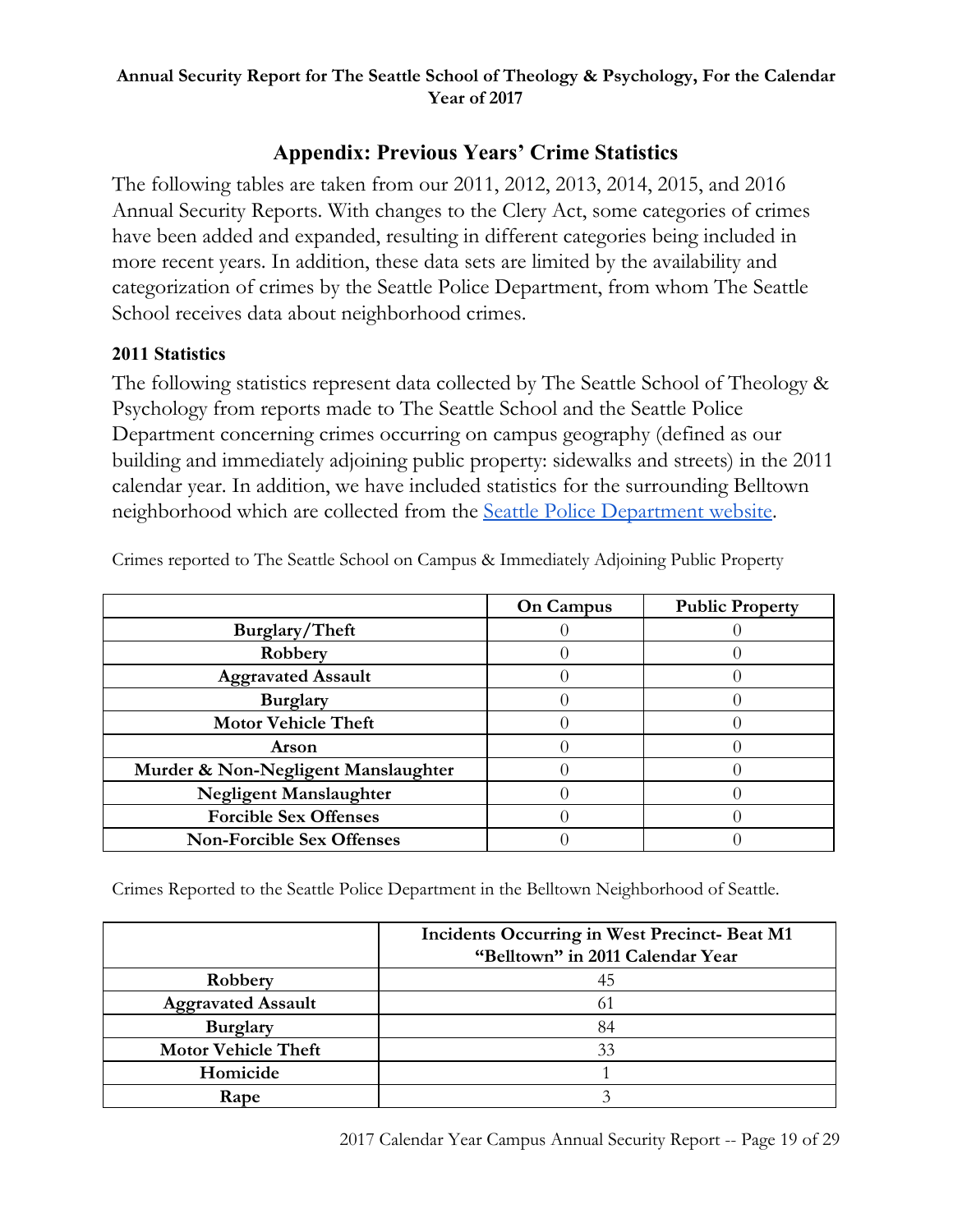# **Appendix: Previous Years' Crime Statistics**

The following tables are taken from our 2011, 2012, 2013, 2014, 2015, and 2016 Annual Security Reports. With changes to the Clery Act, some categories of crimes have been added and expanded, resulting in different categories being included in more recent years. In addition, these data sets are limited by the availability and categorization of crimes by the Seattle Police Department, from whom The Seattle School receives data about neighborhood crimes.

## **2011 Statistics**

The following statistics represent data collected by The Seattle School of Theology & Psychology from reports made to The Seattle School and the Seattle Police Department concerning crimes occurring on campus geography (defined as our building and immediately adjoining public property: sidewalks and streets) in the 2011 calendar year. In addition, we have included statistics for the surrounding Belltown neighborhood which are collected from the Seattle Police [Department](https://www.seattle.gov/police/information-and-data/crime-dashboard) website.

|                                     | <b>On Campus</b> | <b>Public Property</b> |
|-------------------------------------|------------------|------------------------|
| Burglary/Theft                      |                  |                        |
| Robbery                             |                  |                        |
| <b>Aggravated Assault</b>           |                  |                        |
| <b>Burglary</b>                     |                  |                        |
| <b>Motor Vehicle Theft</b>          |                  |                        |
| Arson                               |                  |                        |
| Murder & Non-Negligent Manslaughter |                  |                        |
| <b>Negligent Manslaughter</b>       |                  |                        |
| <b>Forcible Sex Offenses</b>        |                  |                        |
| <b>Non-Forcible Sex Offenses</b>    |                  |                        |

Crimes reported to The Seattle School on Campus & Immediately Adjoining Public Property

Crimes Reported to the Seattle Police Department in the Belltown Neighborhood of Seattle.

|                            | Incidents Occurring in West Precinct- Beat M1<br>"Belltown" in 2011 Calendar Year |
|----------------------------|-----------------------------------------------------------------------------------|
| Robbery                    | 45                                                                                |
| <b>Aggravated Assault</b>  |                                                                                   |
| <b>Burglary</b>            | 84                                                                                |
| <b>Motor Vehicle Theft</b> | 33                                                                                |
| Homicide                   |                                                                                   |
| Rape                       |                                                                                   |

2017 Calendar Year Campus Annual Security Report -- Page 19 of 29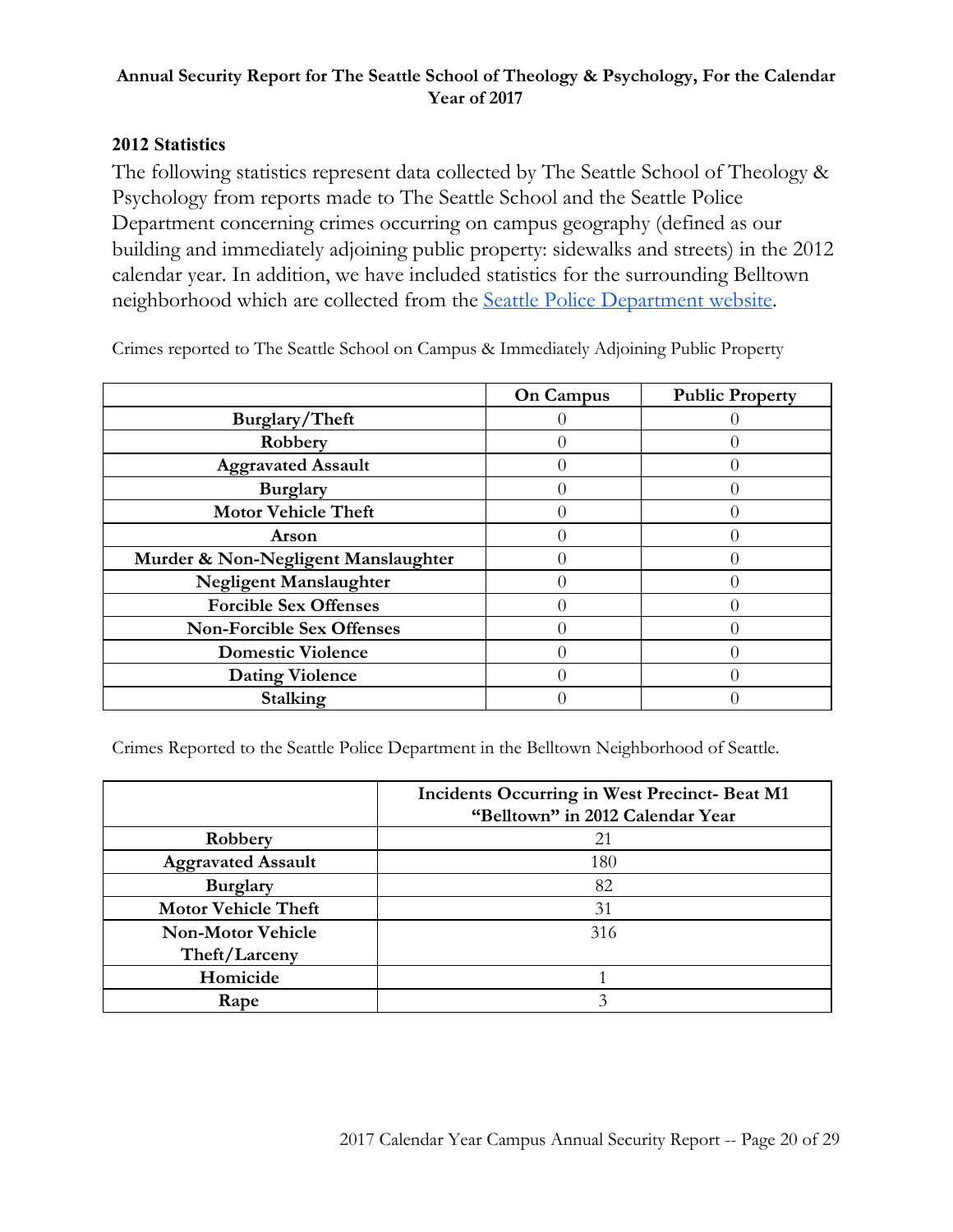## **2012 Statistics**

The following statistics represent data collected by The Seattle School of Theology & Psychology from reports made to The Seattle School and the Seattle Police Department concerning crimes occurring on campus geography (defined as our building and immediately adjoining public property: sidewalks and streets) in the 2012 calendar year. In addition, we have included statistics for the surrounding Belltown neighborhood which are collected from the Seattle Police [Department](https://www.seattle.gov/police/information-and-data/crime-dashboard) website.

|                                     | On Campus | <b>Public Property</b> |
|-------------------------------------|-----------|------------------------|
| Burglary/Theft                      |           |                        |
| Robbery                             |           |                        |
| <b>Aggravated Assault</b>           |           |                        |
| <b>Burglary</b>                     |           |                        |
| <b>Motor Vehicle Theft</b>          |           |                        |
| Arson                               |           |                        |
| Murder & Non-Negligent Manslaughter |           |                        |
| <b>Negligent Manslaughter</b>       |           |                        |
| <b>Forcible Sex Offenses</b>        |           |                        |
| <b>Non-Forcible Sex Offenses</b>    |           |                        |
| <b>Domestic Violence</b>            |           |                        |
| <b>Dating Violence</b>              |           |                        |
| Stalking                            |           |                        |

Crimes reported to The Seattle School on Campus & Immediately Adjoining Public Property

Crimes Reported to the Seattle Police Department in the Belltown Neighborhood of Seattle.

|                            | Incidents Occurring in West Precinct- Beat M1<br>"Belltown" in 2012 Calendar Year |
|----------------------------|-----------------------------------------------------------------------------------|
| Robbery                    | 21                                                                                |
| <b>Aggravated Assault</b>  | 180                                                                               |
| <b>Burglary</b>            | 82                                                                                |
| <b>Motor Vehicle Theft</b> | 31                                                                                |
| <b>Non-Motor Vehicle</b>   | 316                                                                               |
| Theft/Larceny              |                                                                                   |
| Homicide                   |                                                                                   |
| Rape                       |                                                                                   |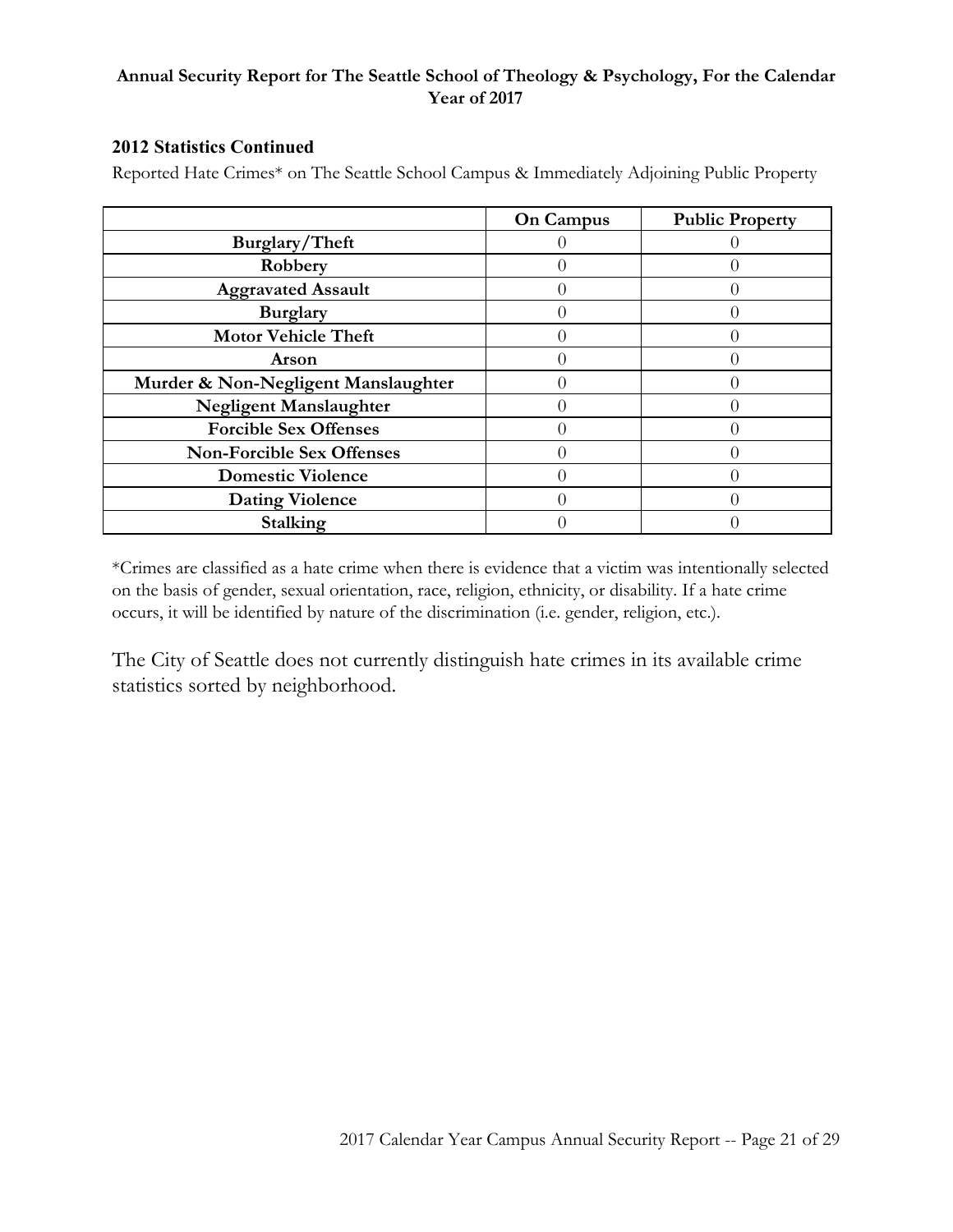#### **2012 Statistics Continued**

Reported Hate Crimes\* on The Seattle School Campus & Immediately Adjoining Public Property

|                                     | <b>On Campus</b> | <b>Public Property</b> |
|-------------------------------------|------------------|------------------------|
| Burglary/Theft                      |                  |                        |
| Robbery                             |                  |                        |
| <b>Aggravated Assault</b>           |                  |                        |
| <b>Burglary</b>                     |                  |                        |
| <b>Motor Vehicle Theft</b>          |                  |                        |
| <b>Arson</b>                        |                  |                        |
| Murder & Non-Negligent Manslaughter |                  |                        |
| <b>Negligent Manslaughter</b>       |                  |                        |
| <b>Forcible Sex Offenses</b>        |                  |                        |
| <b>Non-Forcible Sex Offenses</b>    |                  |                        |
| <b>Domestic Violence</b>            |                  |                        |
| <b>Dating Violence</b>              |                  |                        |
| Stalking                            |                  |                        |

\*Crimes are classified as a hate crime when there is evidence that a victim was intentionally selected on the basis of gender, sexual orientation, race, religion, ethnicity, or disability. If a hate crime occurs, it will be identified by nature of the discrimination (i.e. gender, religion, etc.).

The City of Seattle does not currently distinguish hate crimes in its available crime statistics sorted by neighborhood.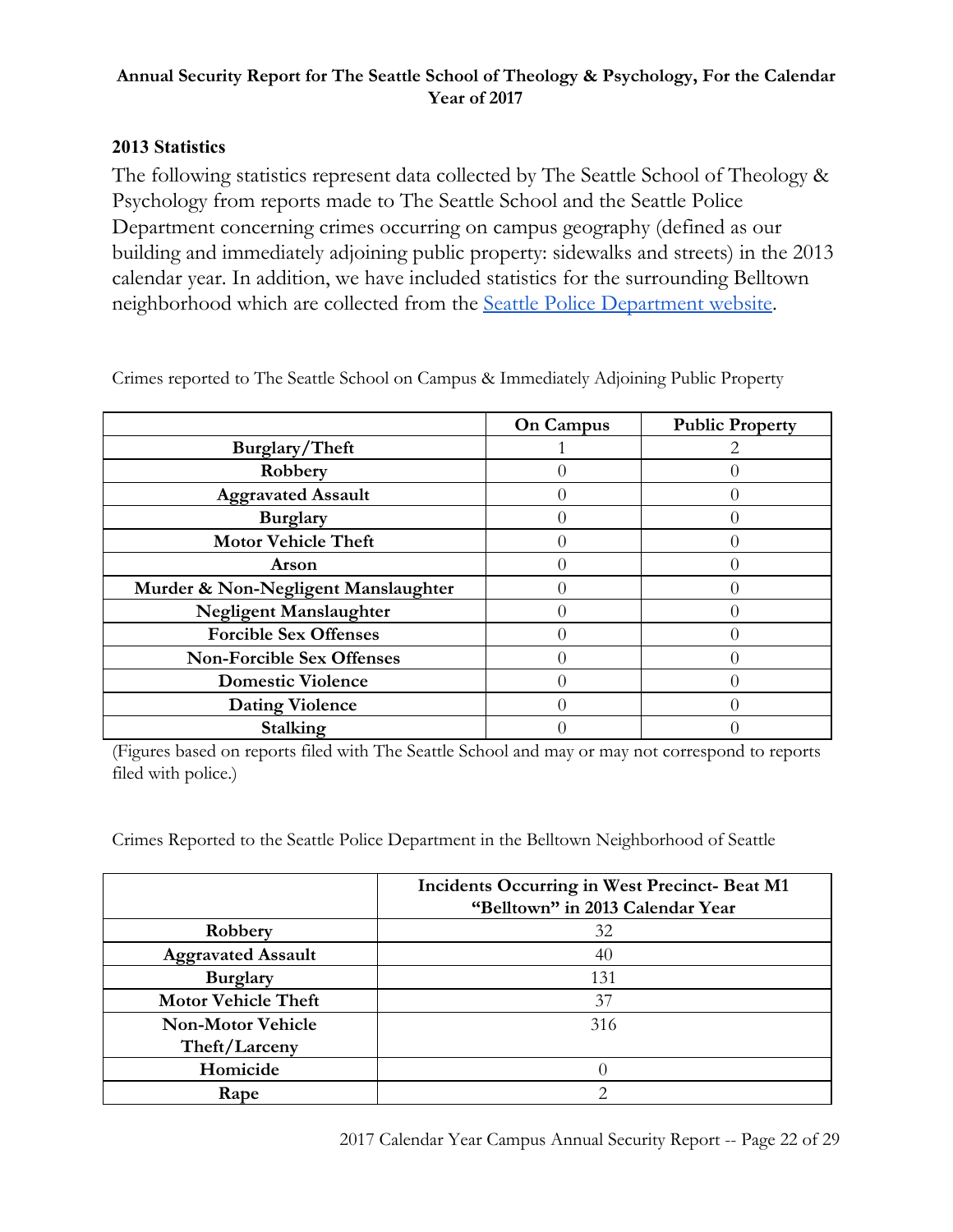## **2013 Statistics**

The following statistics represent data collected by The Seattle School of Theology & Psychology from reports made to The Seattle School and the Seattle Police Department concerning crimes occurring on campus geography (defined as our building and immediately adjoining public property: sidewalks and streets) in the 2013 calendar year. In addition, we have included statistics for the surrounding Belltown neighborhood which are collected from the Seattle Police [Department](https://www.seattle.gov/police/information-and-data/crime-dashboard) website.

|                                     | <b>On Campus</b> | <b>Public Property</b> |
|-------------------------------------|------------------|------------------------|
| Burglary/Theft                      |                  |                        |
| Robbery                             |                  |                        |
| <b>Aggravated Assault</b>           |                  |                        |
| <b>Burglary</b>                     |                  |                        |
| <b>Motor Vehicle Theft</b>          |                  |                        |
| Arson                               |                  |                        |
| Murder & Non-Negligent Manslaughter |                  |                        |
| Negligent Manslaughter              |                  |                        |
| <b>Forcible Sex Offenses</b>        |                  |                        |
| <b>Non-Forcible Sex Offenses</b>    |                  |                        |
| <b>Domestic Violence</b>            |                  |                        |
| <b>Dating Violence</b>              |                  |                        |
| Stalking                            |                  |                        |

Crimes reported to The Seattle School on Campus & Immediately Adjoining Public Property

(Figures based on reports filed with The Seattle School and may or may not correspond to reports filed with police.)

Crimes Reported to the Seattle Police Department in the Belltown Neighborhood of Seattle

|                            | <b>Incidents Occurring in West Precinct-Beat M1</b><br>"Belltown" in 2013 Calendar Year |
|----------------------------|-----------------------------------------------------------------------------------------|
| Robbery                    | 32                                                                                      |
| <b>Aggravated Assault</b>  | 40                                                                                      |
| <b>Burglary</b>            | 131                                                                                     |
| <b>Motor Vehicle Theft</b> | 37                                                                                      |
| <b>Non-Motor Vehicle</b>   | 316                                                                                     |
| Theft/Larceny              |                                                                                         |
| Homicide                   |                                                                                         |
| Rape                       |                                                                                         |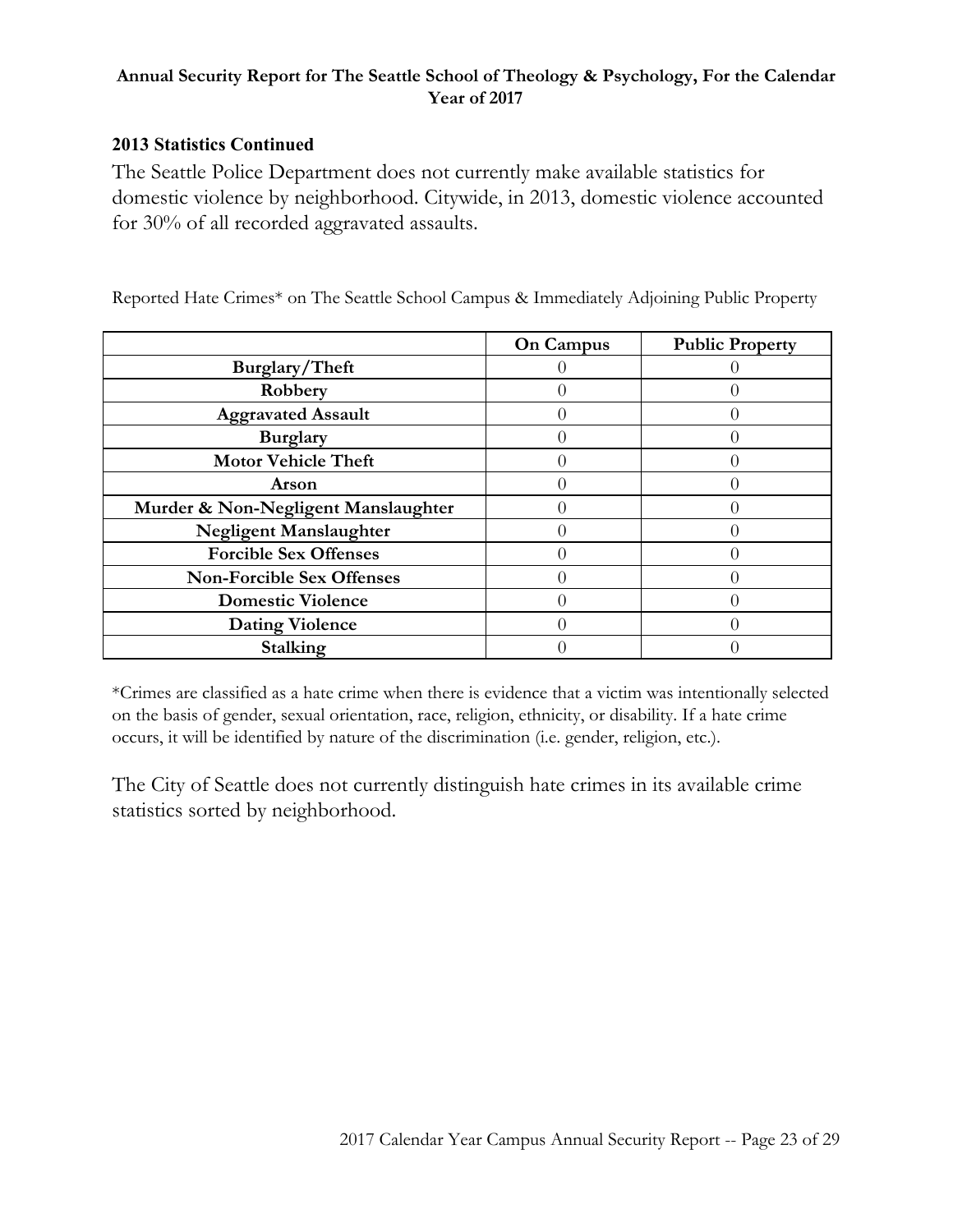## **2013 Statistics Continued**

The Seattle Police Department does not currently make available statistics for domestic violence by neighborhood. Citywide, in 2013, domestic violence accounted for 30% of all recorded aggravated assaults.

|                                     | On Campus | <b>Public Property</b> |
|-------------------------------------|-----------|------------------------|
| Burglary/Theft                      |           |                        |
| Robbery                             |           |                        |
| <b>Aggravated Assault</b>           |           |                        |
| <b>Burglary</b>                     |           |                        |
| <b>Motor Vehicle Theft</b>          |           |                        |
| Arson                               |           |                        |
| Murder & Non-Negligent Manslaughter |           |                        |
| <b>Negligent Manslaughter</b>       |           |                        |
| <b>Forcible Sex Offenses</b>        |           |                        |
| <b>Non-Forcible Sex Offenses</b>    |           |                        |
| <b>Domestic Violence</b>            |           |                        |
| <b>Dating Violence</b>              |           |                        |
| Stalking                            |           |                        |

Reported Hate Crimes\* on The Seattle School Campus & Immediately Adjoining Public Property

\*Crimes are classified as a hate crime when there is evidence that a victim was intentionally selected on the basis of gender, sexual orientation, race, religion, ethnicity, or disability. If a hate crime occurs, it will be identified by nature of the discrimination (i.e. gender, religion, etc.).

The City of Seattle does not currently distinguish hate crimes in its available crime statistics sorted by neighborhood.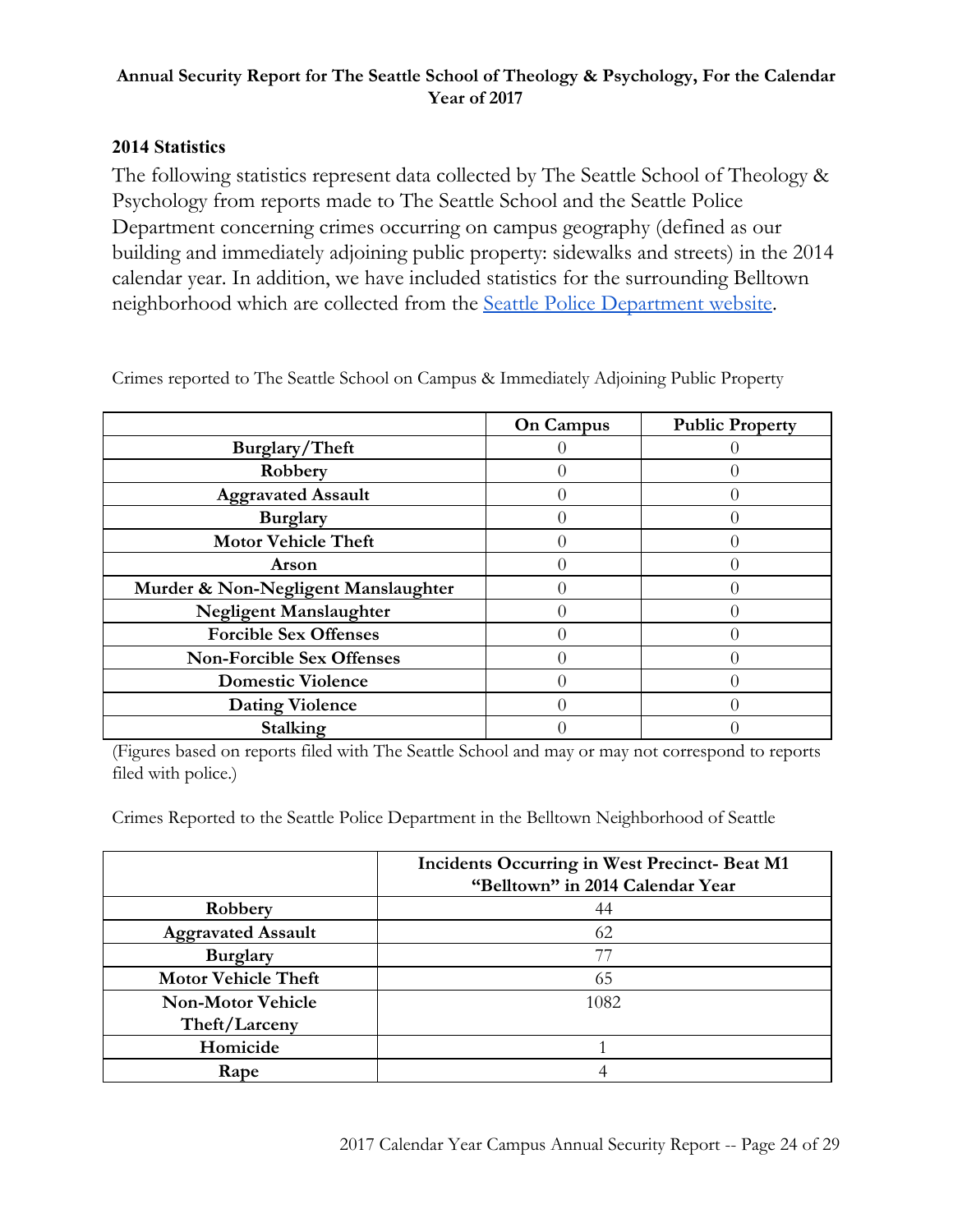## **2014 Statistics**

The following statistics represent data collected by The Seattle School of Theology & Psychology from reports made to The Seattle School and the Seattle Police Department concerning crimes occurring on campus geography (defined as our building and immediately adjoining public property: sidewalks and streets) in the 2014 calendar year. In addition, we have included statistics for the surrounding Belltown neighborhood which are collected from the Seattle Police [Department](https://www.seattle.gov/police/information-and-data/crime-dashboard) website.

|                                     | <b>On Campus</b> | <b>Public Property</b> |
|-------------------------------------|------------------|------------------------|
| Burglary/Theft                      |                  |                        |
| Robbery                             |                  |                        |
| <b>Aggravated Assault</b>           |                  |                        |
| <b>Burglary</b>                     |                  |                        |
| <b>Motor Vehicle Theft</b>          |                  |                        |
| Arson                               |                  |                        |
| Murder & Non-Negligent Manslaughter |                  |                        |
| Negligent Manslaughter              |                  |                        |
| <b>Forcible Sex Offenses</b>        |                  |                        |
| <b>Non-Forcible Sex Offenses</b>    |                  |                        |
| <b>Domestic Violence</b>            |                  |                        |
| <b>Dating Violence</b>              |                  |                        |
| Stalking                            |                  |                        |

Crimes reported to The Seattle School on Campus & Immediately Adjoining Public Property

(Figures based on reports filed with The Seattle School and may or may not correspond to reports filed with police.)

Crimes Reported to the Seattle Police Department in the Belltown Neighborhood of Seattle

|                            | Incidents Occurring in West Precinct- Beat M1<br>"Belltown" in 2014 Calendar Year |
|----------------------------|-----------------------------------------------------------------------------------|
| Robbery                    | 44                                                                                |
| <b>Aggravated Assault</b>  | 62                                                                                |
| <b>Burglary</b>            |                                                                                   |
| <b>Motor Vehicle Theft</b> | 65                                                                                |
| <b>Non-Motor Vehicle</b>   | 1082                                                                              |
| Theft/Larceny              |                                                                                   |
| Homicide                   |                                                                                   |
| Rape                       |                                                                                   |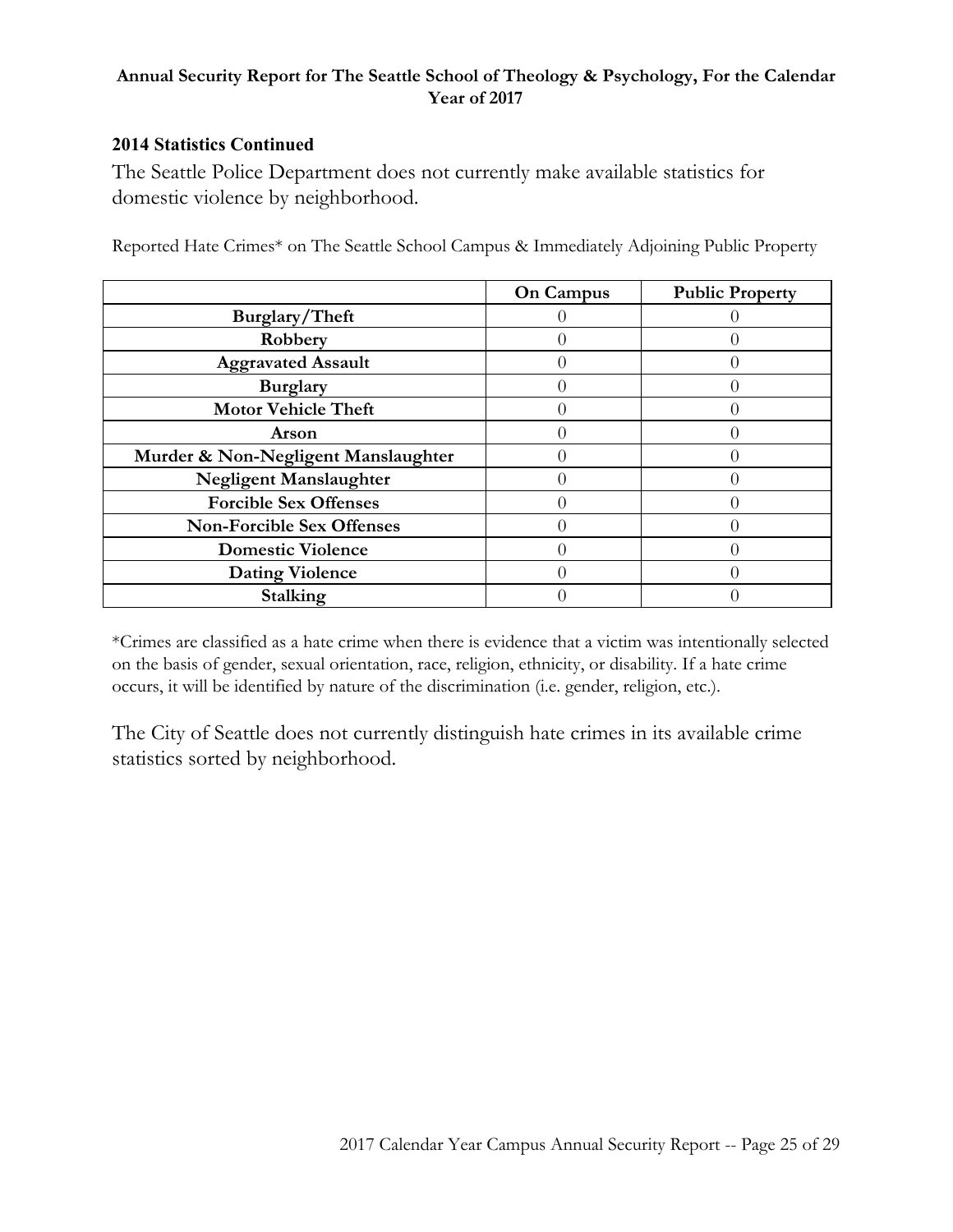#### **2014 Statistics Continued**

The Seattle Police Department does not currently make available statistics for domestic violence by neighborhood.

|                                     | <b>On Campus</b> | <b>Public Property</b> |
|-------------------------------------|------------------|------------------------|
| Burglary/Theft                      |                  |                        |
| Robbery                             |                  |                        |
| <b>Aggravated Assault</b>           |                  |                        |
| <b>Burglary</b>                     |                  |                        |
| <b>Motor Vehicle Theft</b>          |                  |                        |
| Arson                               |                  |                        |
| Murder & Non-Negligent Manslaughter |                  |                        |
| <b>Negligent Manslaughter</b>       |                  |                        |
| <b>Forcible Sex Offenses</b>        |                  |                        |
| <b>Non-Forcible Sex Offenses</b>    |                  |                        |
| <b>Domestic Violence</b>            |                  |                        |
| <b>Dating Violence</b>              |                  |                        |
| Stalking                            |                  |                        |

Reported Hate Crimes\* on The Seattle School Campus & Immediately Adjoining Public Property

\*Crimes are classified as a hate crime when there is evidence that a victim was intentionally selected on the basis of gender, sexual orientation, race, religion, ethnicity, or disability. If a hate crime occurs, it will be identified by nature of the discrimination (i.e. gender, religion, etc.).

The City of Seattle does not currently distinguish hate crimes in its available crime statistics sorted by neighborhood.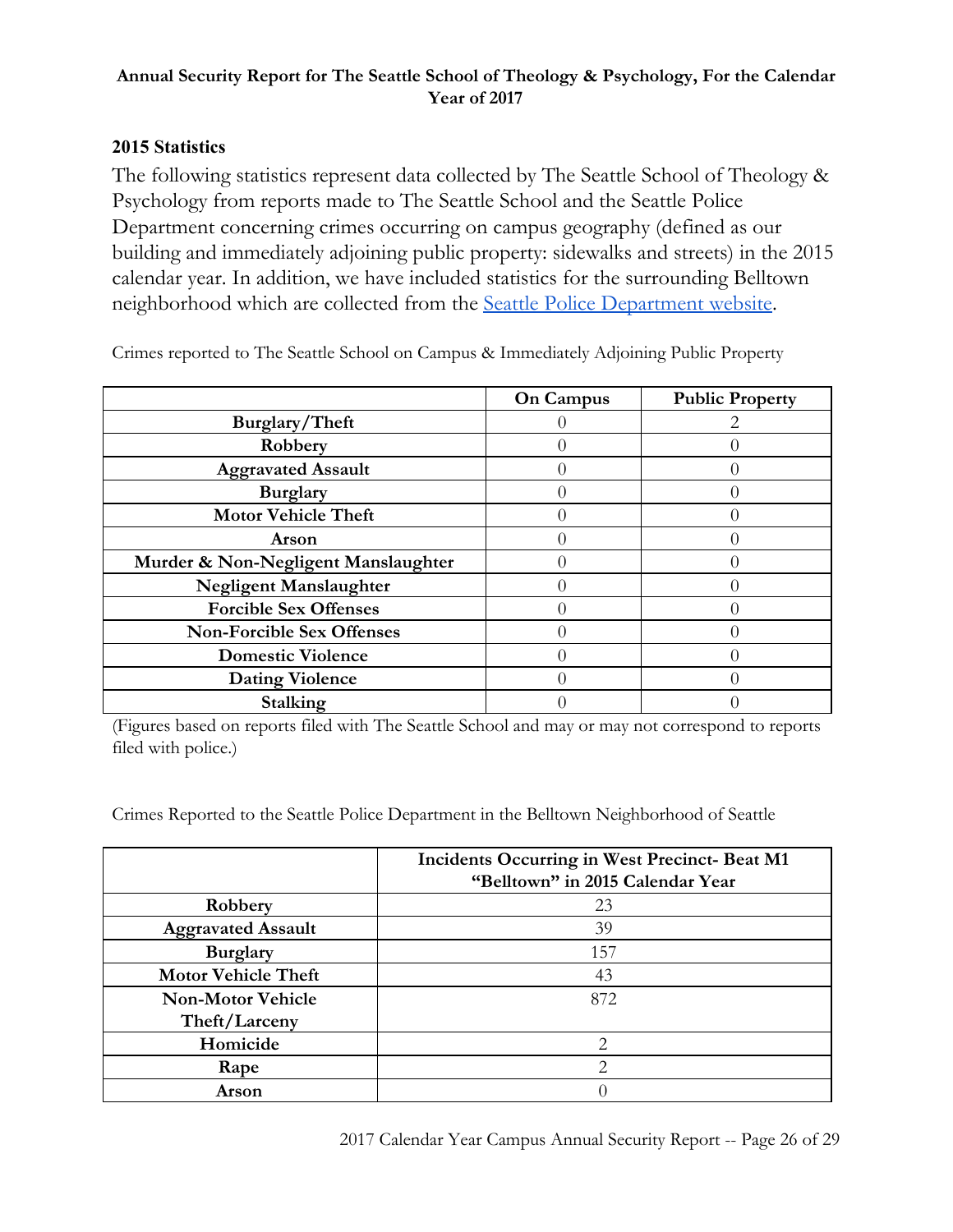## **2015 Statistics**

The following statistics represent data collected by The Seattle School of Theology & Psychology from reports made to The Seattle School and the Seattle Police Department concerning crimes occurring on campus geography (defined as our building and immediately adjoining public property: sidewalks and streets) in the 2015 calendar year. In addition, we have included statistics for the surrounding Belltown neighborhood which are collected from the Seattle Police [Department](https://www.seattle.gov/police/information-and-data/crime-dashboard) website.

|                                     | <b>On Campus</b> | <b>Public Property</b> |
|-------------------------------------|------------------|------------------------|
| Burglary/Theft                      |                  |                        |
| Robbery                             |                  |                        |
| <b>Aggravated Assault</b>           |                  |                        |
| <b>Burglary</b>                     |                  |                        |
| <b>Motor Vehicle Theft</b>          |                  |                        |
| Arson                               |                  |                        |
| Murder & Non-Negligent Manslaughter |                  |                        |
| <b>Negligent Manslaughter</b>       |                  |                        |
| <b>Forcible Sex Offenses</b>        |                  |                        |
| <b>Non-Forcible Sex Offenses</b>    |                  |                        |
| <b>Domestic Violence</b>            |                  |                        |
| <b>Dating Violence</b>              |                  |                        |
| Stalking                            |                  |                        |

Crimes reported to The Seattle School on Campus & Immediately Adjoining Public Property

(Figures based on reports filed with The Seattle School and may or may not correspond to reports filed with police.)

Crimes Reported to the Seattle Police Department in the Belltown Neighborhood of Seattle

|                            | <b>Incidents Occurring in West Precinct-Beat M1</b><br>"Belltown" in 2015 Calendar Year |
|----------------------------|-----------------------------------------------------------------------------------------|
| Robbery                    | 23                                                                                      |
| <b>Aggravated Assault</b>  | 39                                                                                      |
| <b>Burglary</b>            | 157                                                                                     |
| <b>Motor Vehicle Theft</b> | 43                                                                                      |
| <b>Non-Motor Vehicle</b>   | 872                                                                                     |
| Theft/Larceny              |                                                                                         |
| Homicide                   | 2                                                                                       |
| Rape                       | $\mathfrak{D}$                                                                          |
| Arson                      |                                                                                         |

2017 Calendar Year Campus Annual Security Report -- Page 26 of 29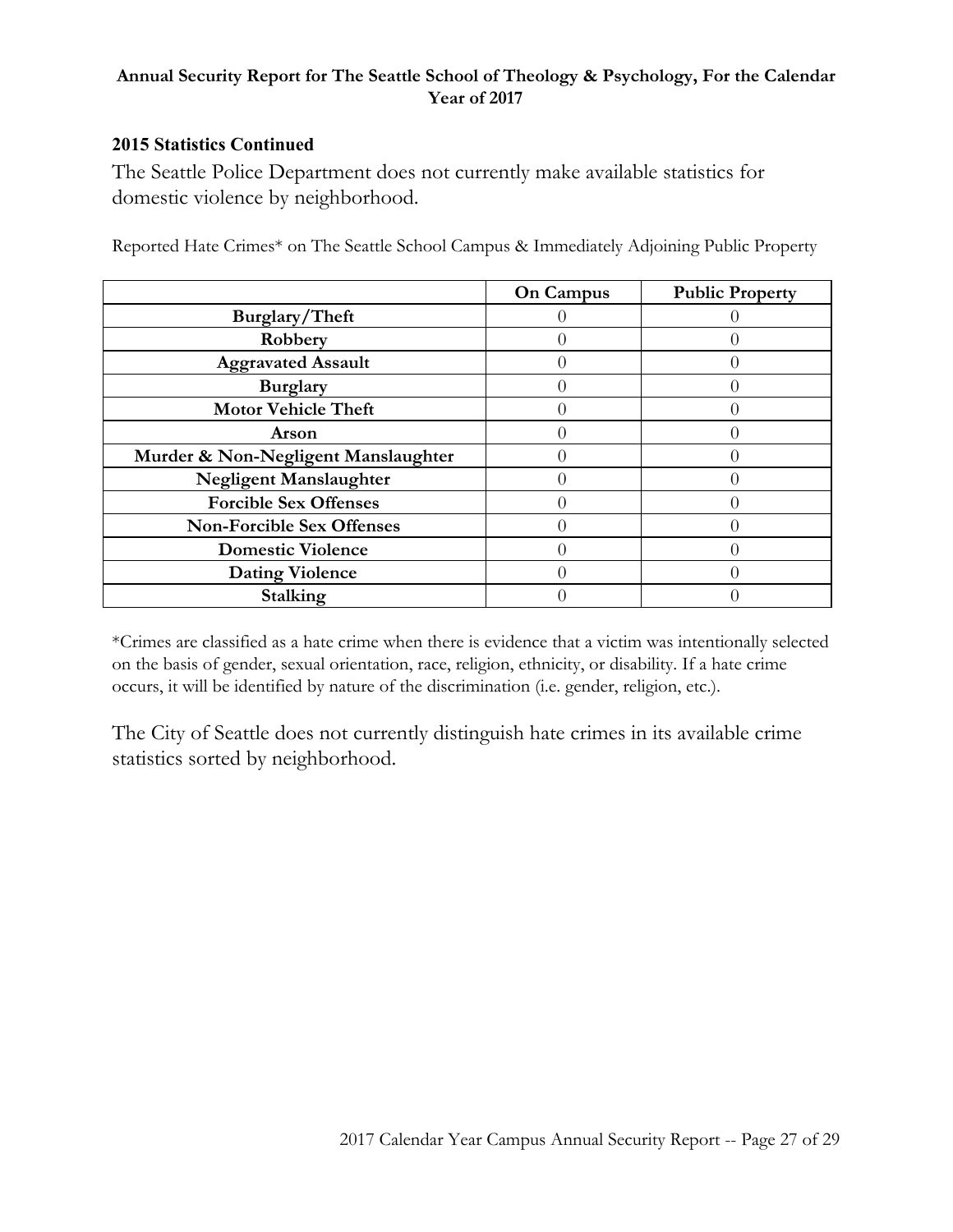#### **2015 Statistics Continued**

The Seattle Police Department does not currently make available statistics for domestic violence by neighborhood.

|                                     | <b>On Campus</b> | <b>Public Property</b> |
|-------------------------------------|------------------|------------------------|
| Burglary/Theft                      |                  |                        |
| Robbery                             |                  |                        |
| <b>Aggravated Assault</b>           |                  |                        |
| <b>Burglary</b>                     |                  |                        |
| <b>Motor Vehicle Theft</b>          |                  |                        |
| Arson                               |                  |                        |
| Murder & Non-Negligent Manslaughter |                  |                        |
| <b>Negligent Manslaughter</b>       |                  |                        |
| <b>Forcible Sex Offenses</b>        |                  |                        |
| <b>Non-Forcible Sex Offenses</b>    |                  |                        |
| <b>Domestic Violence</b>            |                  |                        |
| <b>Dating Violence</b>              |                  |                        |
| Stalking                            |                  |                        |

Reported Hate Crimes\* on The Seattle School Campus & Immediately Adjoining Public Property

\*Crimes are classified as a hate crime when there is evidence that a victim was intentionally selected on the basis of gender, sexual orientation, race, religion, ethnicity, or disability. If a hate crime occurs, it will be identified by nature of the discrimination (i.e. gender, religion, etc.).

The City of Seattle does not currently distinguish hate crimes in its available crime statistics sorted by neighborhood.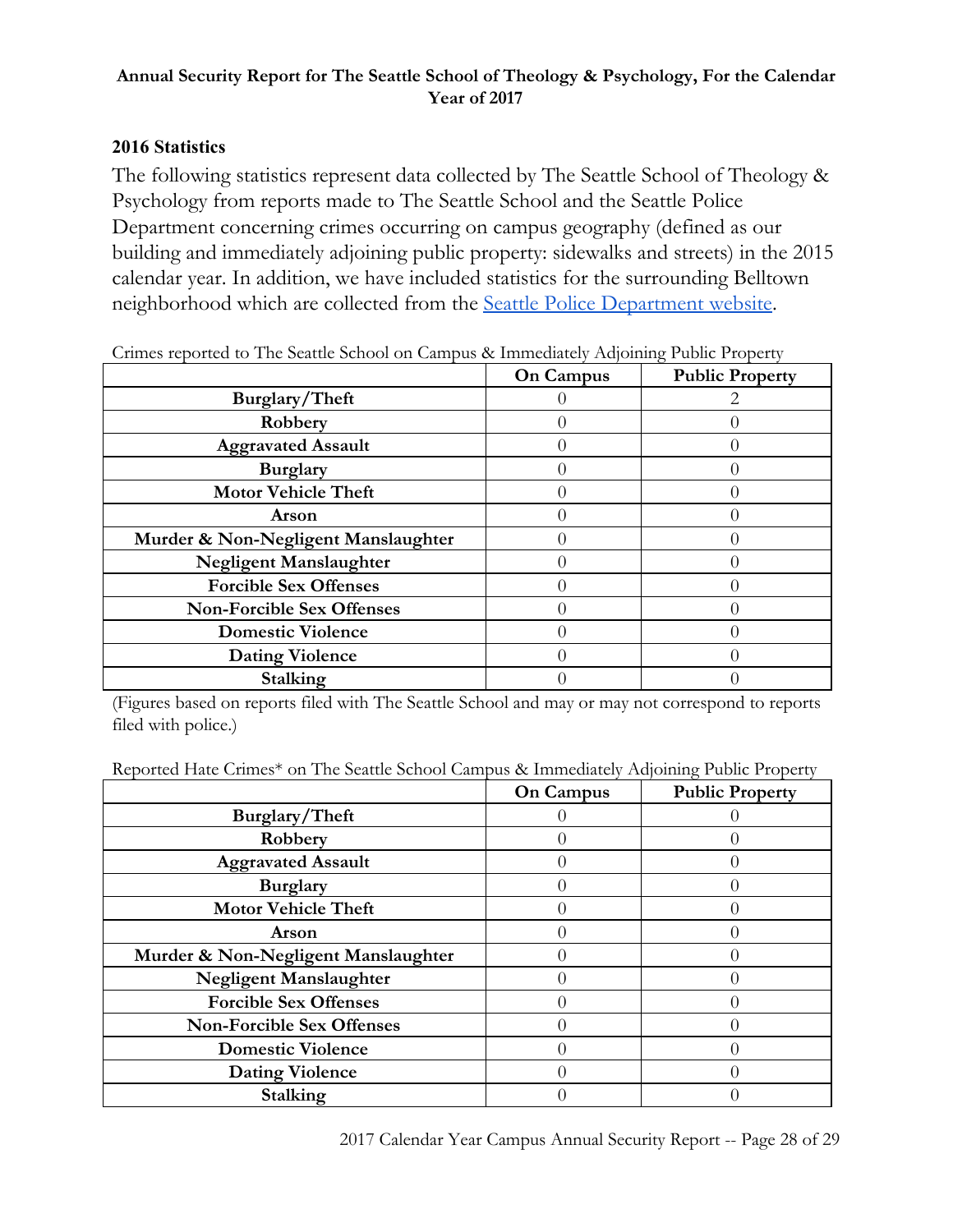## **2016 Statistics**

The following statistics represent data collected by The Seattle School of Theology & Psychology from reports made to The Seattle School and the Seattle Police Department concerning crimes occurring on campus geography (defined as our building and immediately adjoining public property: sidewalks and streets) in the 2015 calendar year. In addition, we have included statistics for the surrounding Belltown neighborhood which are collected from the Seattle Police [Department](https://www.seattle.gov/police/information-and-data/crime-dashboard) website.

| Critics reported to The Seature School on Campus & Immediately Aufoming I upite I toperty |                  |                        |
|-------------------------------------------------------------------------------------------|------------------|------------------------|
|                                                                                           | <b>On Campus</b> | <b>Public Property</b> |
| Burglary/Theft                                                                            |                  |                        |
| Robbery                                                                                   |                  |                        |
| <b>Aggravated Assault</b>                                                                 |                  |                        |
| <b>Burglary</b>                                                                           |                  |                        |
| <b>Motor Vehicle Theft</b>                                                                |                  |                        |
| Arson                                                                                     |                  |                        |
| Murder & Non-Negligent Manslaughter                                                       |                  |                        |
| <b>Negligent Manslaughter</b>                                                             |                  |                        |
| <b>Forcible Sex Offenses</b>                                                              |                  |                        |
| <b>Non-Forcible Sex Offenses</b>                                                          |                  |                        |
| <b>Domestic Violence</b>                                                                  |                  |                        |
| <b>Dating Violence</b>                                                                    |                  |                        |
| Stalking                                                                                  |                  |                        |

Crimes reported to The Seattle School on Campus & Immediately Adjoining Public Property

(Figures based on reports filed with The Seattle School and may or may not correspond to reports filed with police.)

| Reported Hate Crimes* on The Seattle School Campus & Immediately Adjoining Public Property |  |  |  |  |
|--------------------------------------------------------------------------------------------|--|--|--|--|
|                                                                                            |  |  |  |  |

|                                     | <b>On Campus</b> | <b>Public Property</b> |
|-------------------------------------|------------------|------------------------|
| Burglary/Theft                      |                  |                        |
| Robbery                             |                  |                        |
| <b>Aggravated Assault</b>           |                  |                        |
| <b>Burglary</b>                     |                  |                        |
| <b>Motor Vehicle Theft</b>          |                  |                        |
| Arson                               |                  |                        |
| Murder & Non-Negligent Manslaughter |                  |                        |
| Negligent Manslaughter              |                  |                        |
| <b>Forcible Sex Offenses</b>        |                  |                        |
| <b>Non-Forcible Sex Offenses</b>    |                  |                        |
| <b>Domestic Violence</b>            |                  |                        |
| <b>Dating Violence</b>              |                  |                        |
| Stalking                            |                  |                        |